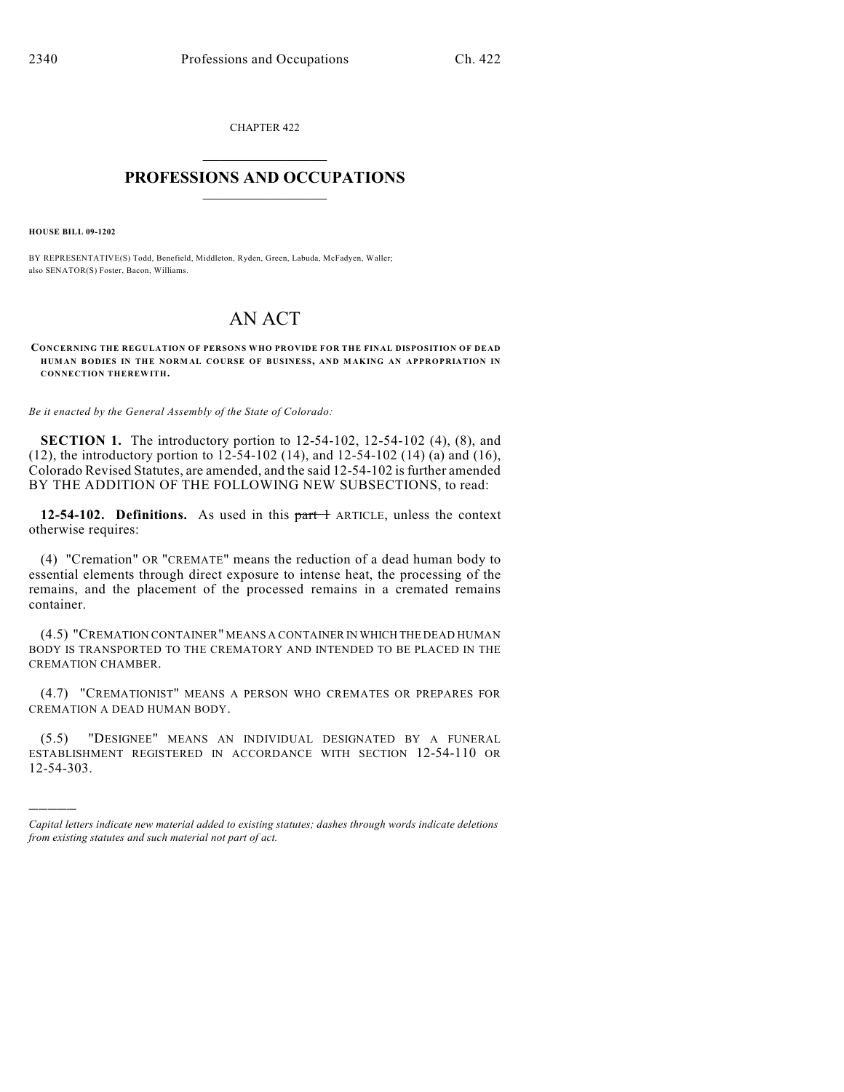CHAPTER 422  $\mathcal{L}_\text{max}$  . The set of the set of the set of the set of the set of the set of the set of the set of the set of the set of the set of the set of the set of the set of the set of the set of the set of the set of the set

### **PROFESSIONS AND OCCUPATIONS**  $\frac{1}{2}$  ,  $\frac{1}{2}$  ,  $\frac{1}{2}$  ,  $\frac{1}{2}$  ,  $\frac{1}{2}$  ,  $\frac{1}{2}$

**HOUSE BILL 09-1202**

)))))

BY REPRESENTATIVE(S) Todd, Benefield, Middleton, Ryden, Green, Labuda, McFadyen, Waller; also SENATOR(S) Foster, Bacon, Williams.

# AN ACT

**CONCERNING THE REGULATION OF PERSONS WHO PROVIDE FOR THE FINAL DISPOSITION OF DEAD HUMAN BODIES IN THE NORMAL COURSE OF BUSINESS, AND MAKING AN APPROPRIATION IN CONNECTION THEREWITH.**

*Be it enacted by the General Assembly of the State of Colorado:*

**SECTION 1.** The introductory portion to 12-54-102, 12-54-102 (4), (8), and (12), the introductory portion to 12-54-102 (14), and 12-54-102 (14) (a) and (16), Colorado Revised Statutes, are amended, and the said 12-54-102 is further amended BY THE ADDITION OF THE FOLLOWING NEW SUBSECTIONS, to read:

**12-54-102. Definitions.** As used in this part + ARTICLE, unless the context otherwise requires:

(4) "Cremation" OR "CREMATE" means the reduction of a dead human body to essential elements through direct exposure to intense heat, the processing of the remains, and the placement of the processed remains in a cremated remains container.

(4.5) "CREMATION CONTAINER" MEANS A CONTAINER IN WHICH THE DEAD HUMAN BODY IS TRANSPORTED TO THE CREMATORY AND INTENDED TO BE PLACED IN THE CREMATION CHAMBER.

(4.7) "CREMATIONIST" MEANS A PERSON WHO CREMATES OR PREPARES FOR CREMATION A DEAD HUMAN BODY.

(5.5) "DESIGNEE" MEANS AN INDIVIDUAL DESIGNATED BY A FUNERAL ESTABLISHMENT REGISTERED IN ACCORDANCE WITH SECTION 12-54-110 OR 12-54-303.

*Capital letters indicate new material added to existing statutes; dashes through words indicate deletions from existing statutes and such material not part of act.*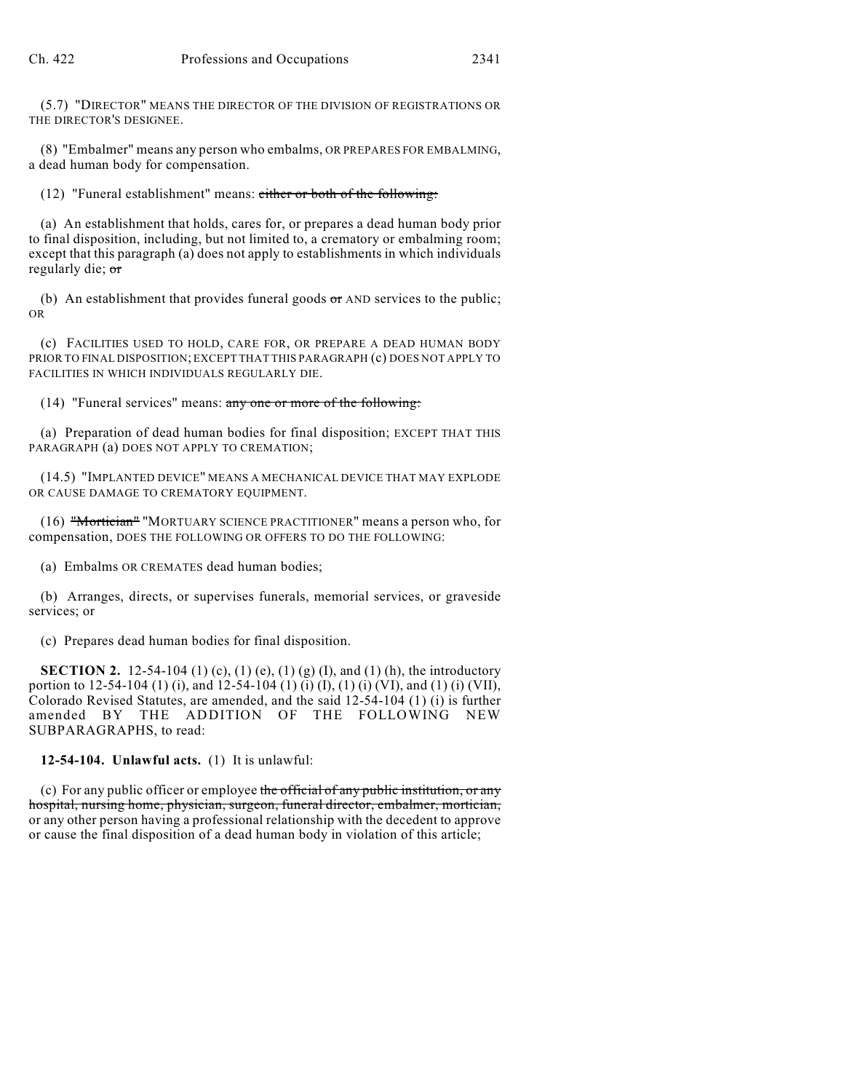(5.7) "DIRECTOR" MEANS THE DIRECTOR OF THE DIVISION OF REGISTRATIONS OR THE DIRECTOR'S DESIGNEE.

(8) "Embalmer" means any person who embalms, OR PREPARES FOR EMBALMING, a dead human body for compensation.

(12) "Funeral establishment" means: either or both of the following:

(a) An establishment that holds, cares for, or prepares a dead human body prior to final disposition, including, but not limited to, a crematory or embalming room; except that this paragraph (a) does not apply to establishments in which individuals regularly die; or

(b) An establishment that provides funeral goods  $\sigma$  AND services to the public; OR

(c) FACILITIES USED TO HOLD, CARE FOR, OR PREPARE A DEAD HUMAN BODY PRIOR TO FINAL DISPOSITION; EXCEPT THAT THIS PARAGRAPH (c) DOES NOT APPLY TO FACILITIES IN WHICH INDIVIDUALS REGULARLY DIE.

(14) "Funeral services" means: any one or more of the following:

(a) Preparation of dead human bodies for final disposition; EXCEPT THAT THIS PARAGRAPH (a) DOES NOT APPLY TO CREMATION;

(14.5) "IMPLANTED DEVICE" MEANS A MECHANICAL DEVICE THAT MAY EXPLODE OR CAUSE DAMAGE TO CREMATORY EQUIPMENT.

(16) "Mortician" "MORTUARY SCIENCE PRACTITIONER" means a person who, for compensation, DOES THE FOLLOWING OR OFFERS TO DO THE FOLLOWING:

(a) Embalms OR CREMATES dead human bodies;

(b) Arranges, directs, or supervises funerals, memorial services, or graveside services; or

(c) Prepares dead human bodies for final disposition.

**SECTION 2.** 12-54-104 (1) (c), (1) (e), (1) (g) (I), and (1) (h), the introductory portion to 12-54-104 (1) (i), and 12-54-104 (1) (i) (I), (1) (i) (VI), and (1) (i) (VII), Colorado Revised Statutes, are amended, and the said 12-54-104 (1) (i) is further amended BY THE ADDITION OF THE FOLLOWING NEW SUBPARAGRAPHS, to read:

**12-54-104. Unlawful acts.** (1) It is unlawful:

(c) For any public officer or employee the official of any public institution, or any hospital, nursing home, physician, surgeon, funeral director, embalmer, mortician, or any other person having a professional relationship with the decedent to approve or cause the final disposition of a dead human body in violation of this article;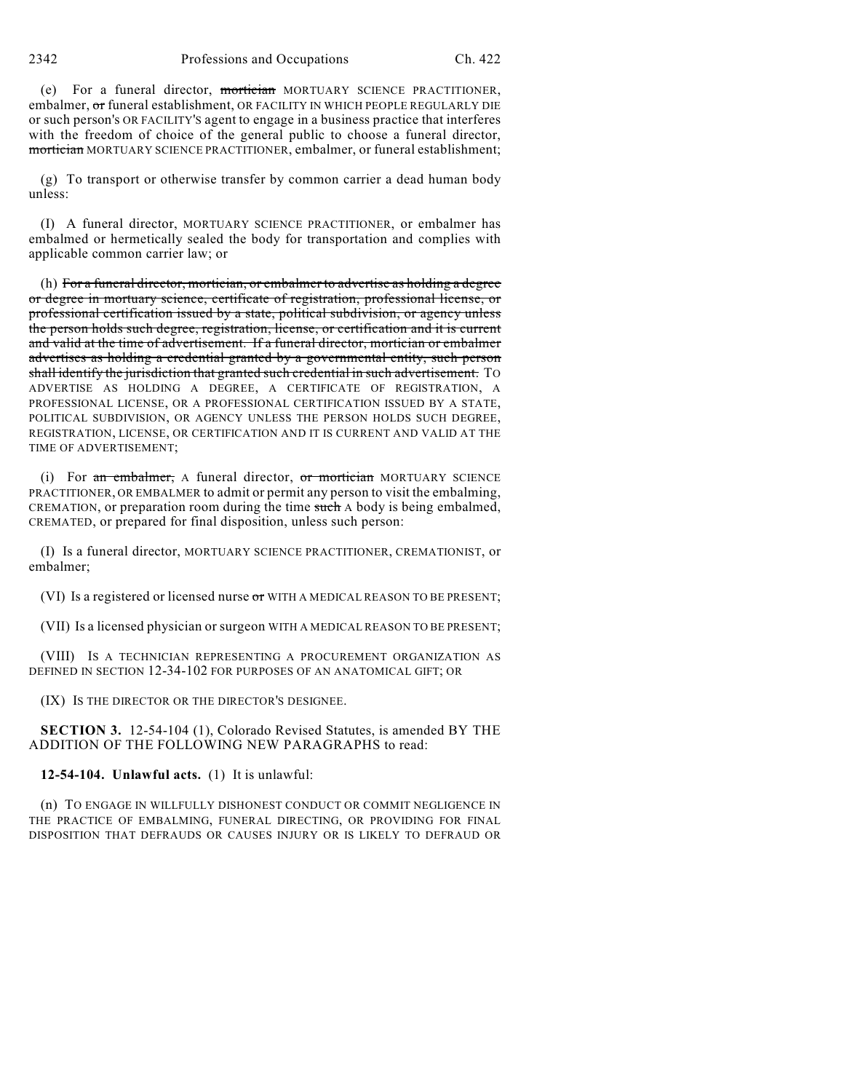2342 Professions and Occupations Ch. 422

(e) For a funeral director, mortician MORTUARY SCIENCE PRACTITIONER, embalmer, or funeral establishment, OR FACILITY IN WHICH PEOPLE REGULARLY DIE or such person's OR FACILITY'S agent to engage in a business practice that interferes with the freedom of choice of the general public to choose a funeral director, mortician MORTUARY SCIENCE PRACTITIONER, embalmer, or funeral establishment;

(g) To transport or otherwise transfer by common carrier a dead human body unless:

(I) A funeral director, MORTUARY SCIENCE PRACTITIONER, or embalmer has embalmed or hermetically sealed the body for transportation and complies with applicable common carrier law; or

(h) For a funeral director, mortician, or embalmer to advertise as holding a degree or degree in mortuary science, certificate of registration, professional license, or professional certification issued by a state, political subdivision, or agency unless the person holds such degree, registration, license, or certification and it is current and valid at the time of advertisement. If a funeral director, mortician or embalmer advertises as holding a credential granted by a governmental entity, such person shall identify the jurisdiction that granted such credential in such advertisement. To ADVERTISE AS HOLDING A DEGREE, A CERTIFICATE OF REGISTRATION, A PROFESSIONAL LICENSE, OR A PROFESSIONAL CERTIFICATION ISSUED BY A STATE, POLITICAL SUBDIVISION, OR AGENCY UNLESS THE PERSON HOLDS SUCH DEGREE, REGISTRATION, LICENSE, OR CERTIFICATION AND IT IS CURRENT AND VALID AT THE TIME OF ADVERTISEMENT;

(i) For an embalmer, A funeral director, or mortician MORTUARY SCIENCE PRACTITIONER, OR EMBALMER to admit or permit any person to visit the embalming, CREMATION, or preparation room during the time such A body is being embalmed, CREMATED, or prepared for final disposition, unless such person:

(I) Is a funeral director, MORTUARY SCIENCE PRACTITIONER, CREMATIONIST, or embalmer;

(VI) Is a registered or licensed nurse or WITH A MEDICAL REASON TO BE PRESENT;

(VII) Is a licensed physician or surgeon WITH A MEDICAL REASON TO BE PRESENT;

(VIII) IS A TECHNICIAN REPRESENTING A PROCUREMENT ORGANIZATION AS DEFINED IN SECTION 12-34-102 FOR PURPOSES OF AN ANATOMICAL GIFT; OR

(IX) IS THE DIRECTOR OR THE DIRECTOR'S DESIGNEE.

**SECTION 3.** 12-54-104 (1), Colorado Revised Statutes, is amended BY THE ADDITION OF THE FOLLOWING NEW PARAGRAPHS to read:

#### **12-54-104. Unlawful acts.** (1) It is unlawful:

(n) TO ENGAGE IN WILLFULLY DISHONEST CONDUCT OR COMMIT NEGLIGENCE IN THE PRACTICE OF EMBALMING, FUNERAL DIRECTING, OR PROVIDING FOR FINAL DISPOSITION THAT DEFRAUDS OR CAUSES INJURY OR IS LIKELY TO DEFRAUD OR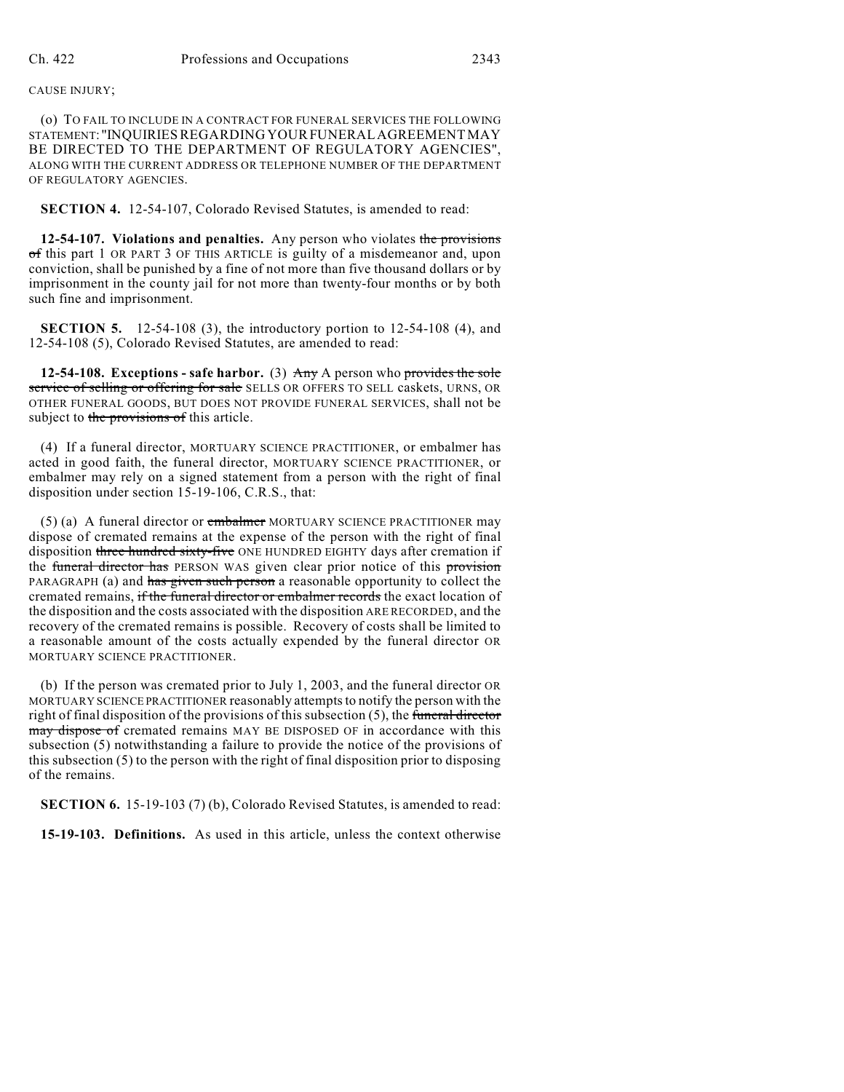(o) TO FAIL TO INCLUDE IN A CONTRACT FOR FUNERAL SERVICES THE FOLLOWING STATEMENT: "INQUIRIESREGARDING YOURFUNERALAGREEMENTMAY BE DIRECTED TO THE DEPARTMENT OF REGULATORY AGENCIES", ALONG WITH THE CURRENT ADDRESS OR TELEPHONE NUMBER OF THE DEPARTMENT OF REGULATORY AGENCIES.

**SECTION 4.** 12-54-107, Colorado Revised Statutes, is amended to read:

**12-54-107. Violations and penalties.** Any person who violates the provisions of this part 1 OR PART 3 OF THIS ARTICLE is guilty of a misdemeanor and, upon conviction, shall be punished by a fine of not more than five thousand dollars or by imprisonment in the county jail for not more than twenty-four months or by both such fine and imprisonment.

**SECTION 5.** 12-54-108 (3), the introductory portion to 12-54-108 (4), and 12-54-108 (5), Colorado Revised Statutes, are amended to read:

**12-54-108. Exceptions - safe harbor.** (3) Any A person who provides the sole service of selling or offering for sale SELLS OR OFFERS TO SELL caskets, URNS, OR OTHER FUNERAL GOODS, BUT DOES NOT PROVIDE FUNERAL SERVICES, shall not be subject to the provisions of this article.

(4) If a funeral director, MORTUARY SCIENCE PRACTITIONER, or embalmer has acted in good faith, the funeral director, MORTUARY SCIENCE PRACTITIONER, or embalmer may rely on a signed statement from a person with the right of final disposition under section 15-19-106, C.R.S., that:

(5) (a) A funeral director or embalmer MORTUARY SCIENCE PRACTITIONER may dispose of cremated remains at the expense of the person with the right of final disposition three hundred sixty-five ONE HUNDRED EIGHTY days after cremation if the funeral director has PERSON WAS given clear prior notice of this provision PARAGRAPH (a) and has given such person a reasonable opportunity to collect the cremated remains, if the funeral director or embalmer records the exact location of the disposition and the costs associated with the disposition ARE RECORDED, and the recovery of the cremated remains is possible. Recovery of costs shall be limited to a reasonable amount of the costs actually expended by the funeral director OR MORTUARY SCIENCE PRACTITIONER.

(b) If the person was cremated prior to July 1, 2003, and the funeral director OR MORTUARY SCIENCE PRACTITIONER reasonably attempts to notify the person with the right of final disposition of the provisions of this subsection  $(5)$ , the funeral director may dispose of cremated remains MAY BE DISPOSED OF in accordance with this subsection (5) notwithstanding a failure to provide the notice of the provisions of this subsection (5) to the person with the right of final disposition prior to disposing of the remains.

**SECTION 6.** 15-19-103 (7) (b), Colorado Revised Statutes, is amended to read:

**15-19-103. Definitions.** As used in this article, unless the context otherwise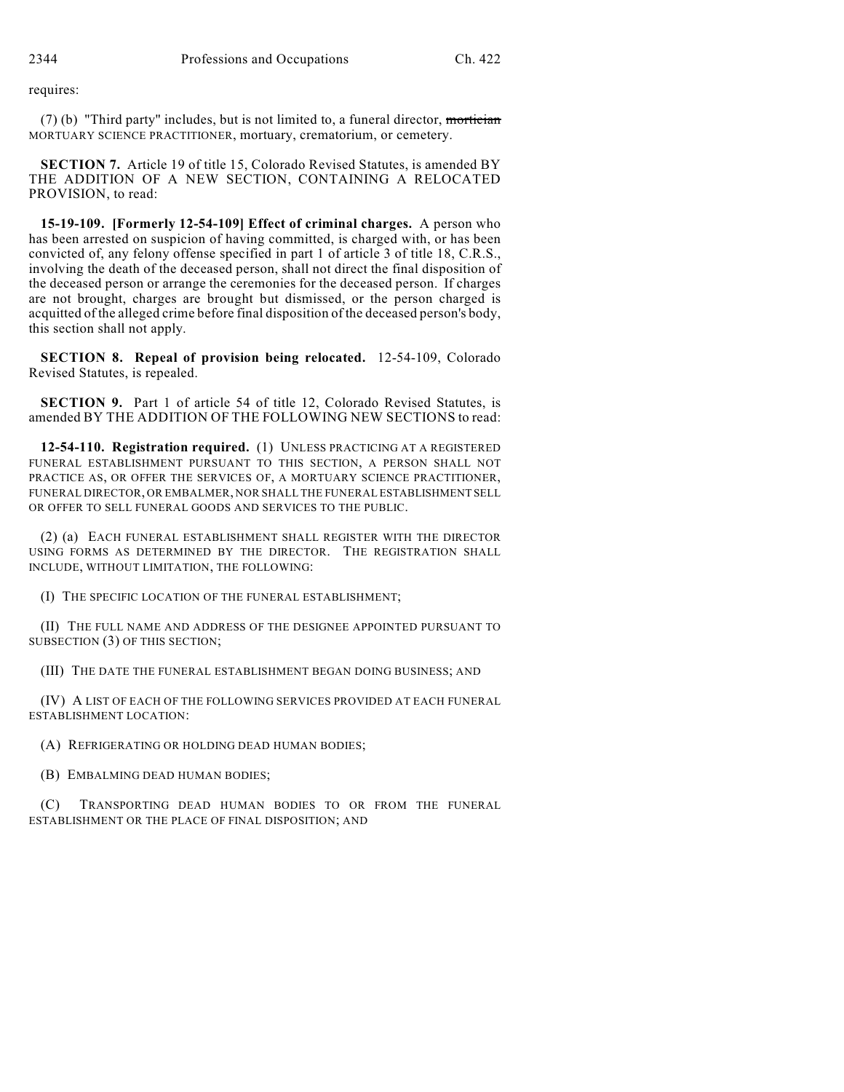requires:

 $(7)$  (b) "Third party" includes, but is not limited to, a funeral director, mortician MORTUARY SCIENCE PRACTITIONER, mortuary, crematorium, or cemetery.

**SECTION 7.** Article 19 of title 15, Colorado Revised Statutes, is amended BY THE ADDITION OF A NEW SECTION, CONTAINING A RELOCATED PROVISION, to read:

**15-19-109. [Formerly 12-54-109] Effect of criminal charges.** A person who has been arrested on suspicion of having committed, is charged with, or has been convicted of, any felony offense specified in part 1 of article 3 of title 18, C.R.S., involving the death of the deceased person, shall not direct the final disposition of the deceased person or arrange the ceremonies for the deceased person. If charges are not brought, charges are brought but dismissed, or the person charged is acquitted of the alleged crime before final disposition of the deceased person's body, this section shall not apply.

**SECTION 8. Repeal of provision being relocated.** 12-54-109, Colorado Revised Statutes, is repealed.

**SECTION 9.** Part 1 of article 54 of title 12, Colorado Revised Statutes, is amended BY THE ADDITION OF THE FOLLOWING NEW SECTIONS to read:

**12-54-110. Registration required.** (1) UNLESS PRACTICING AT A REGISTERED FUNERAL ESTABLISHMENT PURSUANT TO THIS SECTION, A PERSON SHALL NOT PRACTICE AS, OR OFFER THE SERVICES OF, A MORTUARY SCIENCE PRACTITIONER, FUNERAL DIRECTOR, OR EMBALMER, NOR SHALL THE FUNERAL ESTABLISHMENT SELL OR OFFER TO SELL FUNERAL GOODS AND SERVICES TO THE PUBLIC.

(2) (a) EACH FUNERAL ESTABLISHMENT SHALL REGISTER WITH THE DIRECTOR USING FORMS AS DETERMINED BY THE DIRECTOR. THE REGISTRATION SHALL INCLUDE, WITHOUT LIMITATION, THE FOLLOWING:

(I) THE SPECIFIC LOCATION OF THE FUNERAL ESTABLISHMENT;

(II) THE FULL NAME AND ADDRESS OF THE DESIGNEE APPOINTED PURSUANT TO SUBSECTION (3) OF THIS SECTION;

(III) THE DATE THE FUNERAL ESTABLISHMENT BEGAN DOING BUSINESS; AND

(IV) A LIST OF EACH OF THE FOLLOWING SERVICES PROVIDED AT EACH FUNERAL ESTABLISHMENT LOCATION:

(A) REFRIGERATING OR HOLDING DEAD HUMAN BODIES;

(B) EMBALMING DEAD HUMAN BODIES;

(C) TRANSPORTING DEAD HUMAN BODIES TO OR FROM THE FUNERAL ESTABLISHMENT OR THE PLACE OF FINAL DISPOSITION; AND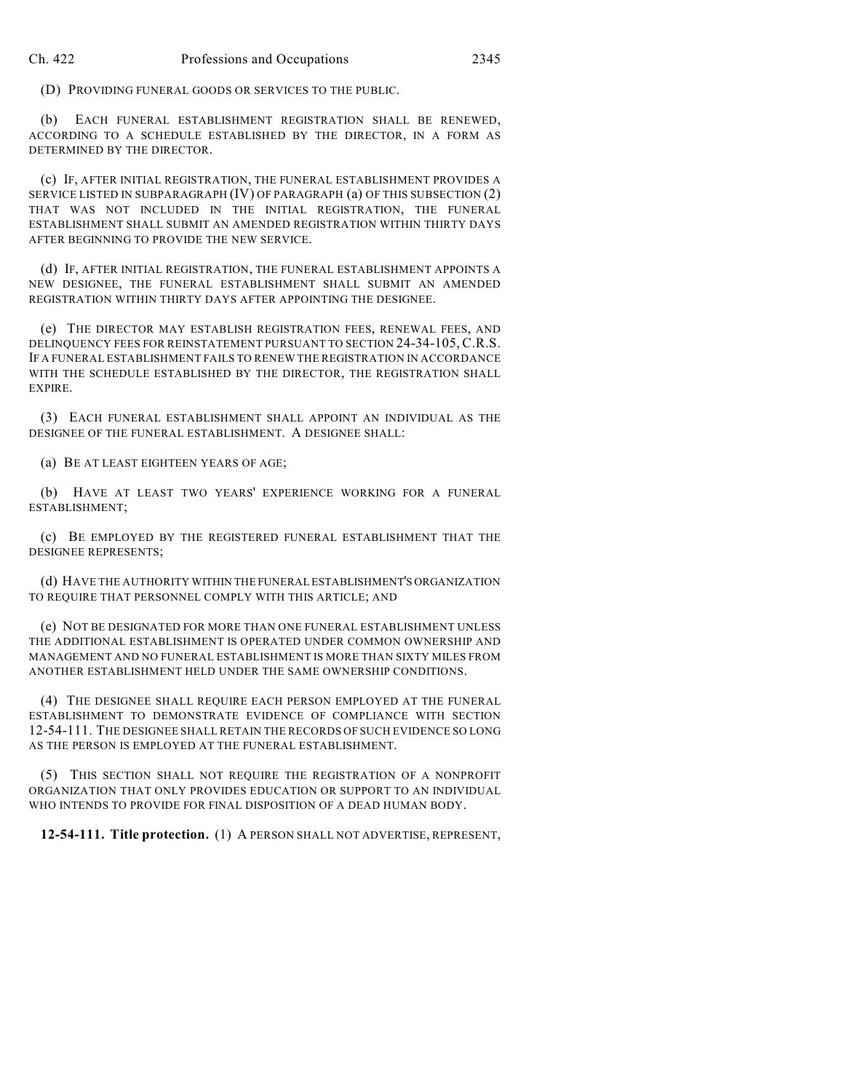(D) PROVIDING FUNERAL GOODS OR SERVICES TO THE PUBLIC.

(b) EACH FUNERAL ESTABLISHMENT REGISTRATION SHALL BE RENEWED, ACCORDING TO A SCHEDULE ESTABLISHED BY THE DIRECTOR, IN A FORM AS DETERMINED BY THE DIRECTOR.

(c) IF, AFTER INITIAL REGISTRATION, THE FUNERAL ESTABLISHMENT PROVIDES A SERVICE LISTED IN SUBPARAGRAPH (IV) OF PARAGRAPH (a) OF THIS SUBSECTION (2) THAT WAS NOT INCLUDED IN THE INITIAL REGISTRATION, THE FUNERAL ESTABLISHMENT SHALL SUBMIT AN AMENDED REGISTRATION WITHIN THIRTY DAYS AFTER BEGINNING TO PROVIDE THE NEW SERVICE.

(d) IF, AFTER INITIAL REGISTRATION, THE FUNERAL ESTABLISHMENT APPOINTS A NEW DESIGNEE, THE FUNERAL ESTABLISHMENT SHALL SUBMIT AN AMENDED REGISTRATION WITHIN THIRTY DAYS AFTER APPOINTING THE DESIGNEE.

(e) THE DIRECTOR MAY ESTABLISH REGISTRATION FEES, RENEWAL FEES, AND DELINQUENCY FEES FOR REINSTATEMENT PURSUANT TO SECTION 24-34-105,C.R.S. IF A FUNERAL ESTABLISHMENT FAILS TO RENEW THE REGISTRATION IN ACCORDANCE WITH THE SCHEDULE ESTABLISHED BY THE DIRECTOR, THE REGISTRATION SHALL EXPIRE.

(3) EACH FUNERAL ESTABLISHMENT SHALL APPOINT AN INDIVIDUAL AS THE DESIGNEE OF THE FUNERAL ESTABLISHMENT. A DESIGNEE SHALL:

(a) BE AT LEAST EIGHTEEN YEARS OF AGE;

(b) HAVE AT LEAST TWO YEARS' EXPERIENCE WORKING FOR A FUNERAL ESTABLISHMENT;

(c) BE EMPLOYED BY THE REGISTERED FUNERAL ESTABLISHMENT THAT THE DESIGNEE REPRESENTS;

(d) HAVE THE AUTHORITY WITHIN THE FUNERAL ESTABLISHMENT'S ORGANIZATION TO REQUIRE THAT PERSONNEL COMPLY WITH THIS ARTICLE; AND

(e) NOT BE DESIGNATED FOR MORE THAN ONE FUNERAL ESTABLISHMENT UNLESS THE ADDITIONAL ESTABLISHMENT IS OPERATED UNDER COMMON OWNERSHIP AND MANAGEMENT AND NO FUNERAL ESTABLISHMENT IS MORE THAN SIXTY MILES FROM ANOTHER ESTABLISHMENT HELD UNDER THE SAME OWNERSHIP CONDITIONS.

(4) THE DESIGNEE SHALL REQUIRE EACH PERSON EMPLOYED AT THE FUNERAL ESTABLISHMENT TO DEMONSTRATE EVIDENCE OF COMPLIANCE WITH SECTION 12-54-111. THE DESIGNEE SHALL RETAIN THE RECORDS OF SUCH EVIDENCE SO LONG AS THE PERSON IS EMPLOYED AT THE FUNERAL ESTABLISHMENT.

(5) THIS SECTION SHALL NOT REQUIRE THE REGISTRATION OF A NONPROFIT ORGANIZATION THAT ONLY PROVIDES EDUCATION OR SUPPORT TO AN INDIVIDUAL WHO INTENDS TO PROVIDE FOR FINAL DISPOSITION OF A DEAD HUMAN BODY.

**12-54-111. Title protection.** (1) A PERSON SHALL NOT ADVERTISE, REPRESENT,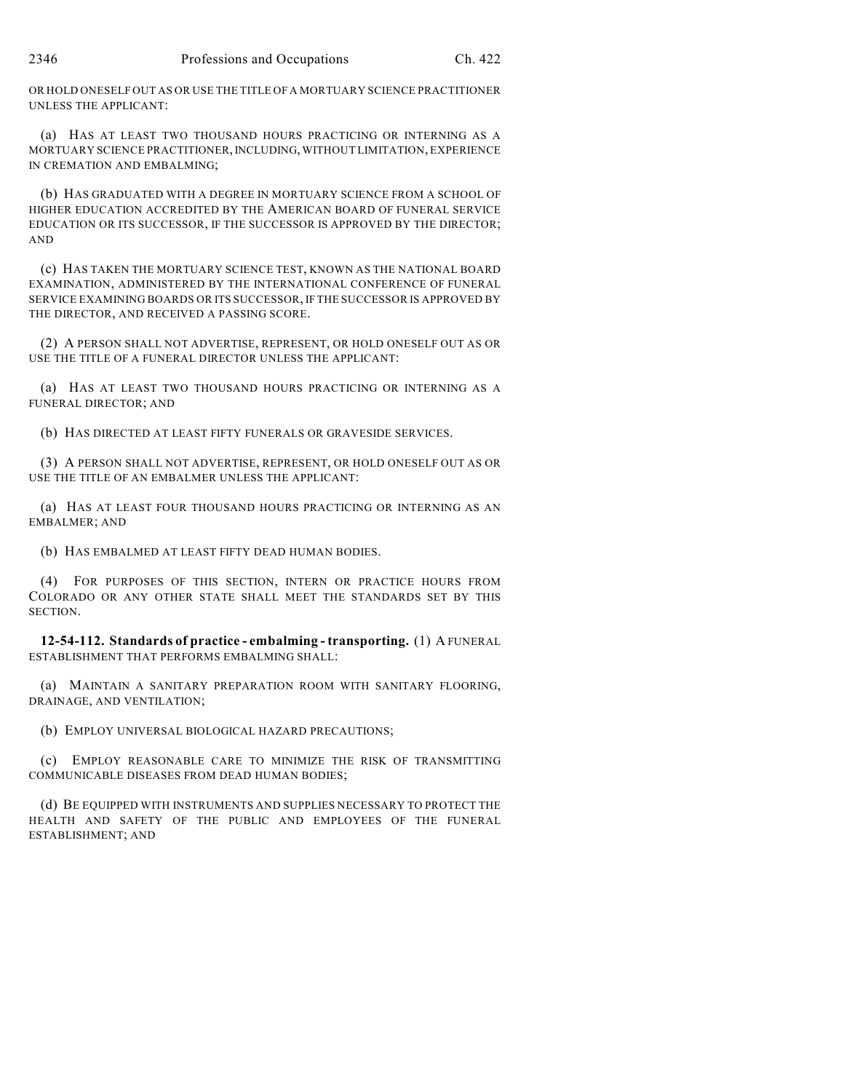OR HOLD ONESELF OUT AS OR USE THE TITLE OF A MORTUARY SCIENCE PRACTITIONER UNLESS THE APPLICANT:

(a) HAS AT LEAST TWO THOUSAND HOURS PRACTICING OR INTERNING AS A MORTUARY SCIENCE PRACTITIONER, INCLUDING, WITHOUT LIMITATION, EXPERIENCE IN CREMATION AND EMBALMING;

(b) HAS GRADUATED WITH A DEGREE IN MORTUARY SCIENCE FROM A SCHOOL OF HIGHER EDUCATION ACCREDITED BY THE AMERICAN BOARD OF FUNERAL SERVICE EDUCATION OR ITS SUCCESSOR, IF THE SUCCESSOR IS APPROVED BY THE DIRECTOR; AND

(c) HAS TAKEN THE MORTUARY SCIENCE TEST, KNOWN AS THE NATIONAL BOARD EXAMINATION, ADMINISTERED BY THE INTERNATIONAL CONFERENCE OF FUNERAL SERVICE EXAMINING BOARDS OR ITS SUCCESSOR, IF THE SUCCESSOR IS APPROVED BY THE DIRECTOR, AND RECEIVED A PASSING SCORE.

(2) A PERSON SHALL NOT ADVERTISE, REPRESENT, OR HOLD ONESELF OUT AS OR USE THE TITLE OF A FUNERAL DIRECTOR UNLESS THE APPLICANT:

(a) HAS AT LEAST TWO THOUSAND HOURS PRACTICING OR INTERNING AS A FUNERAL DIRECTOR; AND

(b) HAS DIRECTED AT LEAST FIFTY FUNERALS OR GRAVESIDE SERVICES.

(3) A PERSON SHALL NOT ADVERTISE, REPRESENT, OR HOLD ONESELF OUT AS OR USE THE TITLE OF AN EMBALMER UNLESS THE APPLICANT:

(a) HAS AT LEAST FOUR THOUSAND HOURS PRACTICING OR INTERNING AS AN EMBALMER; AND

(b) HAS EMBALMED AT LEAST FIFTY DEAD HUMAN BODIES.

(4) FOR PURPOSES OF THIS SECTION, INTERN OR PRACTICE HOURS FROM COLORADO OR ANY OTHER STATE SHALL MEET THE STANDARDS SET BY THIS SECTION.

**12-54-112. Standards of practice - embalming - transporting.** (1) A FUNERAL ESTABLISHMENT THAT PERFORMS EMBALMING SHALL:

(a) MAINTAIN A SANITARY PREPARATION ROOM WITH SANITARY FLOORING, DRAINAGE, AND VENTILATION;

(b) EMPLOY UNIVERSAL BIOLOGICAL HAZARD PRECAUTIONS;

(c) EMPLOY REASONABLE CARE TO MINIMIZE THE RISK OF TRANSMITTING COMMUNICABLE DISEASES FROM DEAD HUMAN BODIES;

(d) BE EQUIPPED WITH INSTRUMENTS AND SUPPLIES NECESSARY TO PROTECT THE HEALTH AND SAFETY OF THE PUBLIC AND EMPLOYEES OF THE FUNERAL ESTABLISHMENT; AND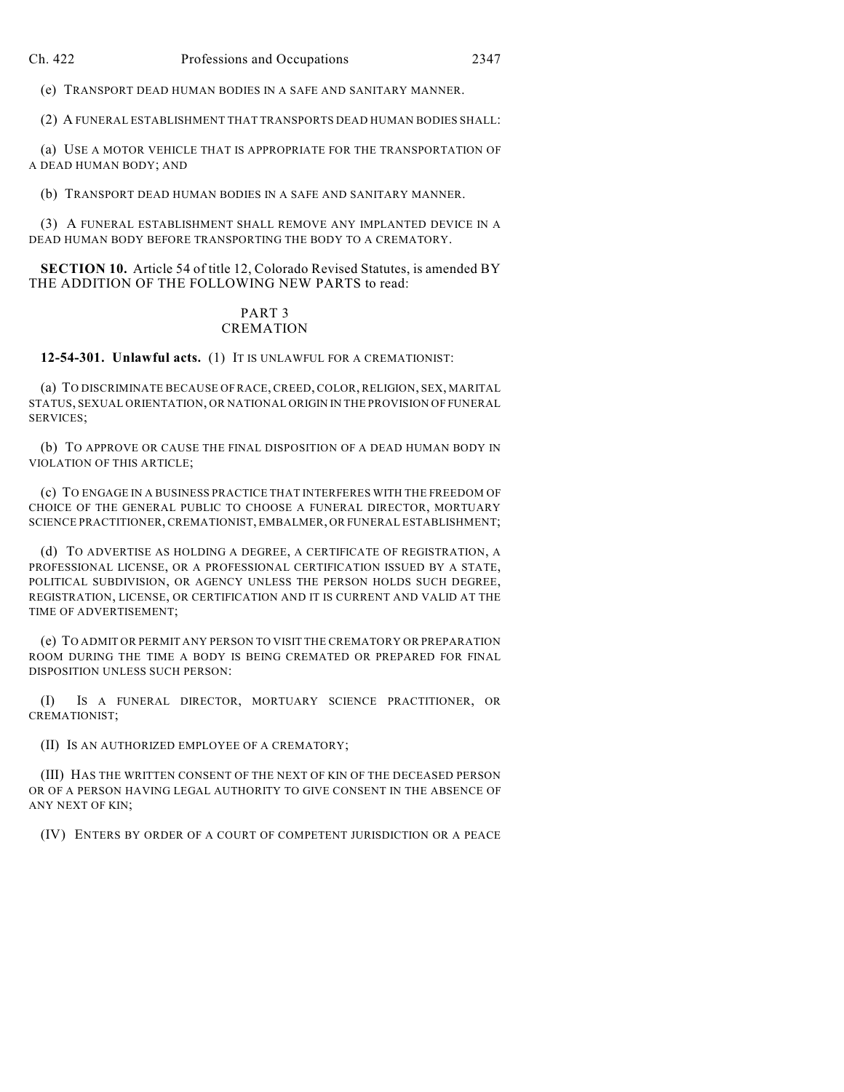(e) TRANSPORT DEAD HUMAN BODIES IN A SAFE AND SANITARY MANNER.

(2) A FUNERAL ESTABLISHMENT THAT TRANSPORTS DEAD HUMAN BODIES SHALL:

(a) USE A MOTOR VEHICLE THAT IS APPROPRIATE FOR THE TRANSPORTATION OF A DEAD HUMAN BODY; AND

(b) TRANSPORT DEAD HUMAN BODIES IN A SAFE AND SANITARY MANNER.

(3) A FUNERAL ESTABLISHMENT SHALL REMOVE ANY IMPLANTED DEVICE IN A DEAD HUMAN BODY BEFORE TRANSPORTING THE BODY TO A CREMATORY.

**SECTION 10.** Article 54 of title 12, Colorado Revised Statutes, is amended BY THE ADDITION OF THE FOLLOWING NEW PARTS to read:

## PART 3 **CREMATION**

**12-54-301. Unlawful acts.** (1) IT IS UNLAWFUL FOR A CREMATIONIST:

(a) TO DISCRIMINATE BECAUSE OF RACE, CREED, COLOR, RELIGION, SEX, MARITAL STATUS, SEXUAL ORIENTATION, OR NATIONAL ORIGIN IN THE PROVISION OF FUNERAL SERVICES;

(b) TO APPROVE OR CAUSE THE FINAL DISPOSITION OF A DEAD HUMAN BODY IN VIOLATION OF THIS ARTICLE;

(c) TO ENGAGE IN A BUSINESS PRACTICE THAT INTERFERES WITH THE FREEDOM OF CHOICE OF THE GENERAL PUBLIC TO CHOOSE A FUNERAL DIRECTOR, MORTUARY SCIENCE PRACTITIONER, CREMATIONIST, EMBALMER, OR FUNERAL ESTABLISHMENT;

(d) TO ADVERTISE AS HOLDING A DEGREE, A CERTIFICATE OF REGISTRATION, A PROFESSIONAL LICENSE, OR A PROFESSIONAL CERTIFICATION ISSUED BY A STATE, POLITICAL SUBDIVISION, OR AGENCY UNLESS THE PERSON HOLDS SUCH DEGREE, REGISTRATION, LICENSE, OR CERTIFICATION AND IT IS CURRENT AND VALID AT THE TIME OF ADVERTISEMENT;

(e) TO ADMIT OR PERMIT ANY PERSON TO VISIT THE CREMATORY OR PREPARATION ROOM DURING THE TIME A BODY IS BEING CREMATED OR PREPARED FOR FINAL DISPOSITION UNLESS SUCH PERSON:

(I) IS A FUNERAL DIRECTOR, MORTUARY SCIENCE PRACTITIONER, OR CREMATIONIST;

(II) IS AN AUTHORIZED EMPLOYEE OF A CREMATORY;

(III) HAS THE WRITTEN CONSENT OF THE NEXT OF KIN OF THE DECEASED PERSON OR OF A PERSON HAVING LEGAL AUTHORITY TO GIVE CONSENT IN THE ABSENCE OF ANY NEXT OF KIN;

(IV) ENTERS BY ORDER OF A COURT OF COMPETENT JURISDICTION OR A PEACE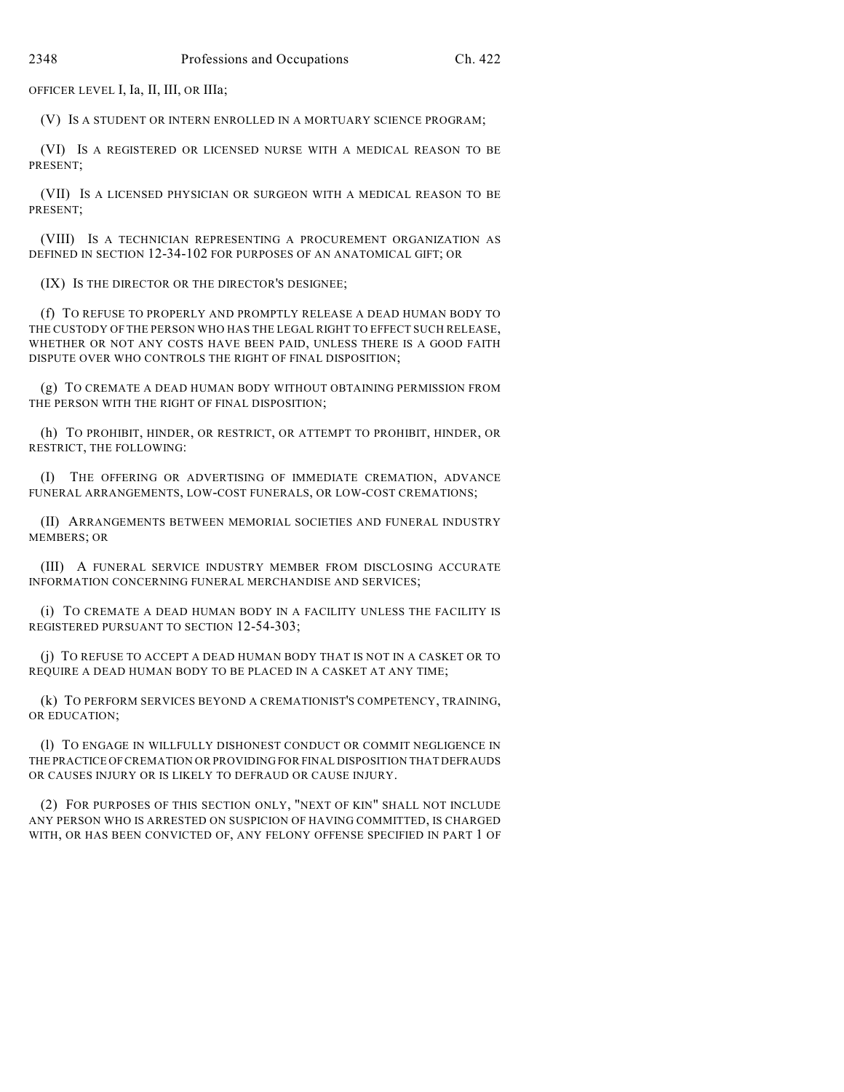OFFICER LEVEL I, Ia, II, III, OR IIIa;

(V) IS A STUDENT OR INTERN ENROLLED IN A MORTUARY SCIENCE PROGRAM;

(VI) IS A REGISTERED OR LICENSED NURSE WITH A MEDICAL REASON TO BE PRESENT;

(VII) IS A LICENSED PHYSICIAN OR SURGEON WITH A MEDICAL REASON TO BE PRESENT;

(VIII) IS A TECHNICIAN REPRESENTING A PROCUREMENT ORGANIZATION AS DEFINED IN SECTION 12-34-102 FOR PURPOSES OF AN ANATOMICAL GIFT; OR

(IX) IS THE DIRECTOR OR THE DIRECTOR'S DESIGNEE;

(f) TO REFUSE TO PROPERLY AND PROMPTLY RELEASE A DEAD HUMAN BODY TO THE CUSTODY OF THE PERSON WHO HAS THE LEGAL RIGHT TO EFFECT SUCH RELEASE, WHETHER OR NOT ANY COSTS HAVE BEEN PAID, UNLESS THERE IS A GOOD FAITH DISPUTE OVER WHO CONTROLS THE RIGHT OF FINAL DISPOSITION;

(g) TO CREMATE A DEAD HUMAN BODY WITHOUT OBTAINING PERMISSION FROM THE PERSON WITH THE RIGHT OF FINAL DISPOSITION;

(h) TO PROHIBIT, HINDER, OR RESTRICT, OR ATTEMPT TO PROHIBIT, HINDER, OR RESTRICT, THE FOLLOWING:

(I) THE OFFERING OR ADVERTISING OF IMMEDIATE CREMATION, ADVANCE FUNERAL ARRANGEMENTS, LOW-COST FUNERALS, OR LOW-COST CREMATIONS;

(II) ARRANGEMENTS BETWEEN MEMORIAL SOCIETIES AND FUNERAL INDUSTRY MEMBERS; OR

(III) A FUNERAL SERVICE INDUSTRY MEMBER FROM DISCLOSING ACCURATE INFORMATION CONCERNING FUNERAL MERCHANDISE AND SERVICES;

(i) TO CREMATE A DEAD HUMAN BODY IN A FACILITY UNLESS THE FACILITY IS REGISTERED PURSUANT TO SECTION 12-54-303;

(j) TO REFUSE TO ACCEPT A DEAD HUMAN BODY THAT IS NOT IN A CASKET OR TO REQUIRE A DEAD HUMAN BODY TO BE PLACED IN A CASKET AT ANY TIME;

(k) TO PERFORM SERVICES BEYOND A CREMATIONIST'S COMPETENCY, TRAINING, OR EDUCATION;

(l) TO ENGAGE IN WILLFULLY DISHONEST CONDUCT OR COMMIT NEGLIGENCE IN THE PRACTICE OF CREMATION OR PROVIDING FOR FINAL DISPOSITION THAT DEFRAUDS OR CAUSES INJURY OR IS LIKELY TO DEFRAUD OR CAUSE INJURY.

(2) FOR PURPOSES OF THIS SECTION ONLY, "NEXT OF KIN" SHALL NOT INCLUDE ANY PERSON WHO IS ARRESTED ON SUSPICION OF HAVING COMMITTED, IS CHARGED WITH, OR HAS BEEN CONVICTED OF, ANY FELONY OFFENSE SPECIFIED IN PART 1 OF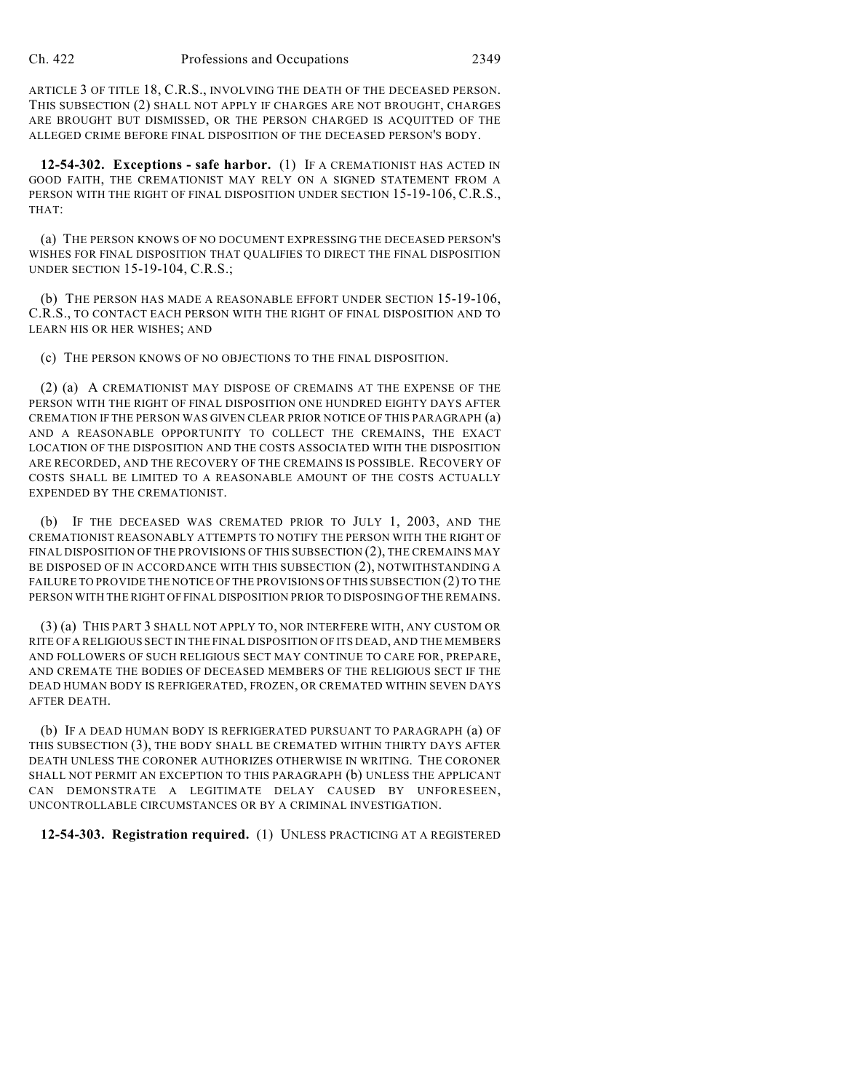ARTICLE 3 OF TITLE 18, C.R.S., INVOLVING THE DEATH OF THE DECEASED PERSON. THIS SUBSECTION (2) SHALL NOT APPLY IF CHARGES ARE NOT BROUGHT, CHARGES ARE BROUGHT BUT DISMISSED, OR THE PERSON CHARGED IS ACQUITTED OF THE ALLEGED CRIME BEFORE FINAL DISPOSITION OF THE DECEASED PERSON'S BODY.

**12-54-302. Exceptions - safe harbor.** (1) IF A CREMATIONIST HAS ACTED IN GOOD FAITH, THE CREMATIONIST MAY RELY ON A SIGNED STATEMENT FROM A PERSON WITH THE RIGHT OF FINAL DISPOSITION UNDER SECTION 15-19-106, C.R.S., THAT:

(a) THE PERSON KNOWS OF NO DOCUMENT EXPRESSING THE DECEASED PERSON'S WISHES FOR FINAL DISPOSITION THAT QUALIFIES TO DIRECT THE FINAL DISPOSITION UNDER SECTION 15-19-104, C.R.S.;

(b) THE PERSON HAS MADE A REASONABLE EFFORT UNDER SECTION 15-19-106, C.R.S., TO CONTACT EACH PERSON WITH THE RIGHT OF FINAL DISPOSITION AND TO LEARN HIS OR HER WISHES; AND

(c) THE PERSON KNOWS OF NO OBJECTIONS TO THE FINAL DISPOSITION.

(2) (a) A CREMATIONIST MAY DISPOSE OF CREMAINS AT THE EXPENSE OF THE PERSON WITH THE RIGHT OF FINAL DISPOSITION ONE HUNDRED EIGHTY DAYS AFTER CREMATION IF THE PERSON WAS GIVEN CLEAR PRIOR NOTICE OF THIS PARAGRAPH (a) AND A REASONABLE OPPORTUNITY TO COLLECT THE CREMAINS, THE EXACT LOCATION OF THE DISPOSITION AND THE COSTS ASSOCIATED WITH THE DISPOSITION ARE RECORDED, AND THE RECOVERY OF THE CREMAINS IS POSSIBLE. RECOVERY OF COSTS SHALL BE LIMITED TO A REASONABLE AMOUNT OF THE COSTS ACTUALLY EXPENDED BY THE CREMATIONIST.

(b) IF THE DECEASED WAS CREMATED PRIOR TO JULY 1, 2003, AND THE CREMATIONIST REASONABLY ATTEMPTS TO NOTIFY THE PERSON WITH THE RIGHT OF FINAL DISPOSITION OF THE PROVISIONS OF THIS SUBSECTION (2), THE CREMAINS MAY BE DISPOSED OF IN ACCORDANCE WITH THIS SUBSECTION (2), NOTWITHSTANDING A FAILURE TO PROVIDE THE NOTICE OFTHE PROVISIONS OF THIS SUBSECTION (2) TO THE PERSON WITH THE RIGHT OF FINAL DISPOSITION PRIOR TO DISPOSING OF THE REMAINS.

(3) (a) THIS PART 3 SHALL NOT APPLY TO, NOR INTERFERE WITH, ANY CUSTOM OR RITE OFA RELIGIOUS SECT IN THE FINAL DISPOSITION OF ITS DEAD, AND THE MEMBERS AND FOLLOWERS OF SUCH RELIGIOUS SECT MAY CONTINUE TO CARE FOR, PREPARE, AND CREMATE THE BODIES OF DECEASED MEMBERS OF THE RELIGIOUS SECT IF THE DEAD HUMAN BODY IS REFRIGERATED, FROZEN, OR CREMATED WITHIN SEVEN DAYS AFTER DEATH.

(b) IF A DEAD HUMAN BODY IS REFRIGERATED PURSUANT TO PARAGRAPH (a) OF THIS SUBSECTION (3), THE BODY SHALL BE CREMATED WITHIN THIRTY DAYS AFTER DEATH UNLESS THE CORONER AUTHORIZES OTHERWISE IN WRITING. THE CORONER SHALL NOT PERMIT AN EXCEPTION TO THIS PARAGRAPH (b) UNLESS THE APPLICANT CAN DEMONSTRATE A LEGITIMATE DELAY CAUSED BY UNFORESEEN, UNCONTROLLABLE CIRCUMSTANCES OR BY A CRIMINAL INVESTIGATION.

**12-54-303. Registration required.** (1) UNLESS PRACTICING AT A REGISTERED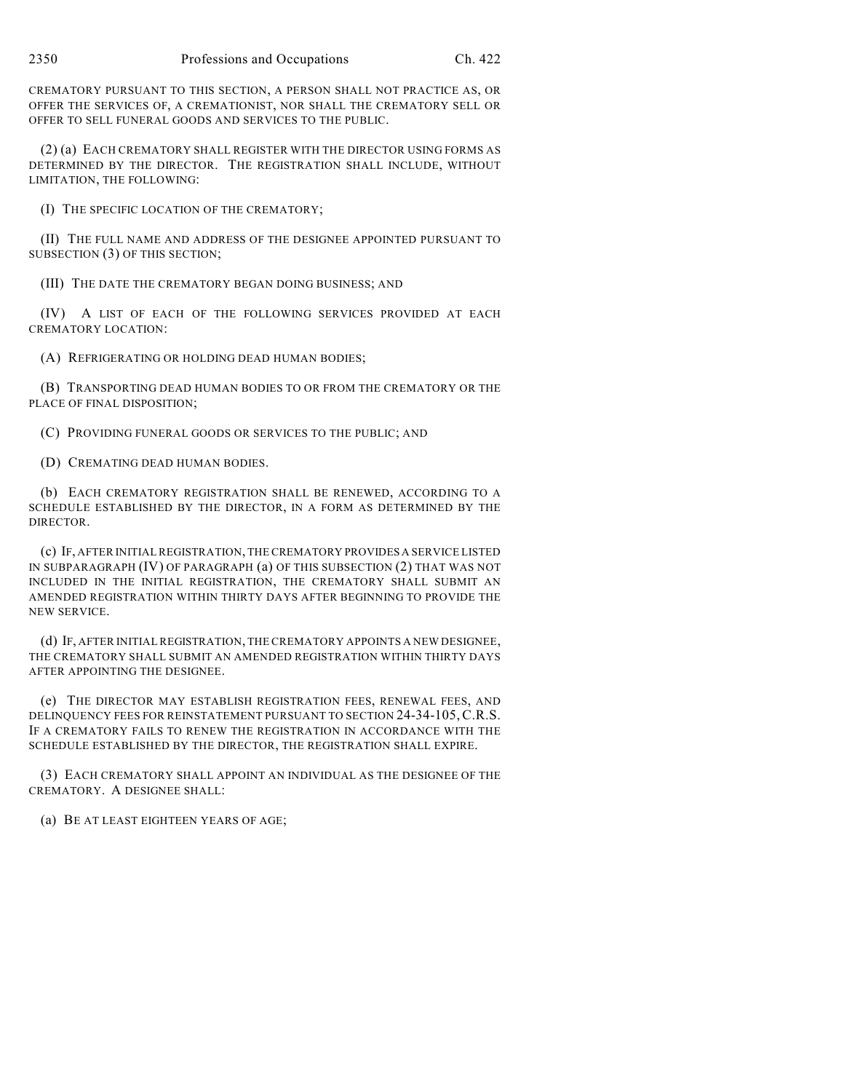CREMATORY PURSUANT TO THIS SECTION, A PERSON SHALL NOT PRACTICE AS, OR OFFER THE SERVICES OF, A CREMATIONIST, NOR SHALL THE CREMATORY SELL OR OFFER TO SELL FUNERAL GOODS AND SERVICES TO THE PUBLIC.

(2) (a) EACH CREMATORY SHALL REGISTER WITH THE DIRECTOR USING FORMS AS DETERMINED BY THE DIRECTOR. THE REGISTRATION SHALL INCLUDE, WITHOUT LIMITATION, THE FOLLOWING:

(I) THE SPECIFIC LOCATION OF THE CREMATORY;

(II) THE FULL NAME AND ADDRESS OF THE DESIGNEE APPOINTED PURSUANT TO SUBSECTION (3) OF THIS SECTION;

(III) THE DATE THE CREMATORY BEGAN DOING BUSINESS; AND

(IV) A LIST OF EACH OF THE FOLLOWING SERVICES PROVIDED AT EACH CREMATORY LOCATION:

(A) REFRIGERATING OR HOLDING DEAD HUMAN BODIES;

(B) TRANSPORTING DEAD HUMAN BODIES TO OR FROM THE CREMATORY OR THE PLACE OF FINAL DISPOSITION;

(C) PROVIDING FUNERAL GOODS OR SERVICES TO THE PUBLIC; AND

(D) CREMATING DEAD HUMAN BODIES.

(b) EACH CREMATORY REGISTRATION SHALL BE RENEWED, ACCORDING TO A SCHEDULE ESTABLISHED BY THE DIRECTOR, IN A FORM AS DETERMINED BY THE DIRECTOR.

(c) IF, AFTER INITIAL REGISTRATION, THE CREMATORY PROVIDES A SERVICE LISTED IN SUBPARAGRAPH (IV) OF PARAGRAPH (a) OF THIS SUBSECTION (2) THAT WAS NOT INCLUDED IN THE INITIAL REGISTRATION, THE CREMATORY SHALL SUBMIT AN AMENDED REGISTRATION WITHIN THIRTY DAYS AFTER BEGINNING TO PROVIDE THE NEW SERVICE.

(d) IF, AFTER INITIAL REGISTRATION, THE CREMATORY APPOINTS A NEW DESIGNEE, THE CREMATORY SHALL SUBMIT AN AMENDED REGISTRATION WITHIN THIRTY DAYS AFTER APPOINTING THE DESIGNEE.

(e) THE DIRECTOR MAY ESTABLISH REGISTRATION FEES, RENEWAL FEES, AND DELINQUENCY FEES FOR REINSTATEMENT PURSUANT TO SECTION 24-34-105,C.R.S. IF A CREMATORY FAILS TO RENEW THE REGISTRATION IN ACCORDANCE WITH THE SCHEDULE ESTABLISHED BY THE DIRECTOR, THE REGISTRATION SHALL EXPIRE.

(3) EACH CREMATORY SHALL APPOINT AN INDIVIDUAL AS THE DESIGNEE OF THE CREMATORY. A DESIGNEE SHALL:

(a) BE AT LEAST EIGHTEEN YEARS OF AGE;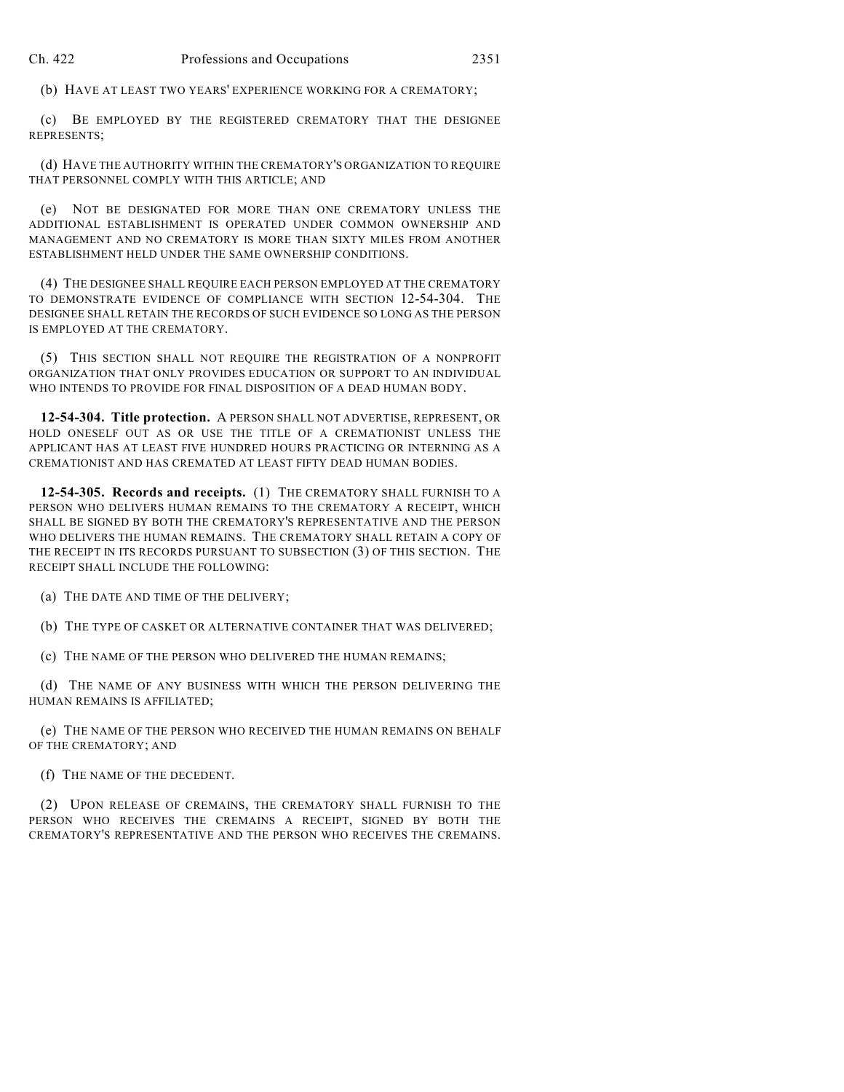(b) HAVE AT LEAST TWO YEARS' EXPERIENCE WORKING FOR A CREMATORY;

(c) BE EMPLOYED BY THE REGISTERED CREMATORY THAT THE DESIGNEE REPRESENTS;

(d) HAVE THE AUTHORITY WITHIN THE CREMATORY'S ORGANIZATION TO REQUIRE THAT PERSONNEL COMPLY WITH THIS ARTICLE; AND

(e) NOT BE DESIGNATED FOR MORE THAN ONE CREMATORY UNLESS THE ADDITIONAL ESTABLISHMENT IS OPERATED UNDER COMMON OWNERSHIP AND MANAGEMENT AND NO CREMATORY IS MORE THAN SIXTY MILES FROM ANOTHER ESTABLISHMENT HELD UNDER THE SAME OWNERSHIP CONDITIONS.

(4) THE DESIGNEE SHALL REQUIRE EACH PERSON EMPLOYED AT THE CREMATORY TO DEMONSTRATE EVIDENCE OF COMPLIANCE WITH SECTION 12-54-304. THE DESIGNEE SHALL RETAIN THE RECORDS OF SUCH EVIDENCE SO LONG AS THE PERSON IS EMPLOYED AT THE CREMATORY.

(5) THIS SECTION SHALL NOT REQUIRE THE REGISTRATION OF A NONPROFIT ORGANIZATION THAT ONLY PROVIDES EDUCATION OR SUPPORT TO AN INDIVIDUAL WHO INTENDS TO PROVIDE FOR FINAL DISPOSITION OF A DEAD HUMAN BODY.

**12-54-304. Title protection.** A PERSON SHALL NOT ADVERTISE, REPRESENT, OR HOLD ONESELF OUT AS OR USE THE TITLE OF A CREMATIONIST UNLESS THE APPLICANT HAS AT LEAST FIVE HUNDRED HOURS PRACTICING OR INTERNING AS A CREMATIONIST AND HAS CREMATED AT LEAST FIFTY DEAD HUMAN BODIES.

**12-54-305. Records and receipts.** (1) THE CREMATORY SHALL FURNISH TO A PERSON WHO DELIVERS HUMAN REMAINS TO THE CREMATORY A RECEIPT, WHICH SHALL BE SIGNED BY BOTH THE CREMATORY'S REPRESENTATIVE AND THE PERSON WHO DELIVERS THE HUMAN REMAINS. THE CREMATORY SHALL RETAIN A COPY OF THE RECEIPT IN ITS RECORDS PURSUANT TO SUBSECTION (3) OF THIS SECTION. THE RECEIPT SHALL INCLUDE THE FOLLOWING:

(a) THE DATE AND TIME OF THE DELIVERY;

(b) THE TYPE OF CASKET OR ALTERNATIVE CONTAINER THAT WAS DELIVERED;

(c) THE NAME OF THE PERSON WHO DELIVERED THE HUMAN REMAINS;

(d) THE NAME OF ANY BUSINESS WITH WHICH THE PERSON DELIVERING THE HUMAN REMAINS IS AFFILIATED;

(e) THE NAME OF THE PERSON WHO RECEIVED THE HUMAN REMAINS ON BEHALF OF THE CREMATORY; AND

(f) THE NAME OF THE DECEDENT.

(2) UPON RELEASE OF CREMAINS, THE CREMATORY SHALL FURNISH TO THE PERSON WHO RECEIVES THE CREMAINS A RECEIPT, SIGNED BY BOTH THE CREMATORY'S REPRESENTATIVE AND THE PERSON WHO RECEIVES THE CREMAINS.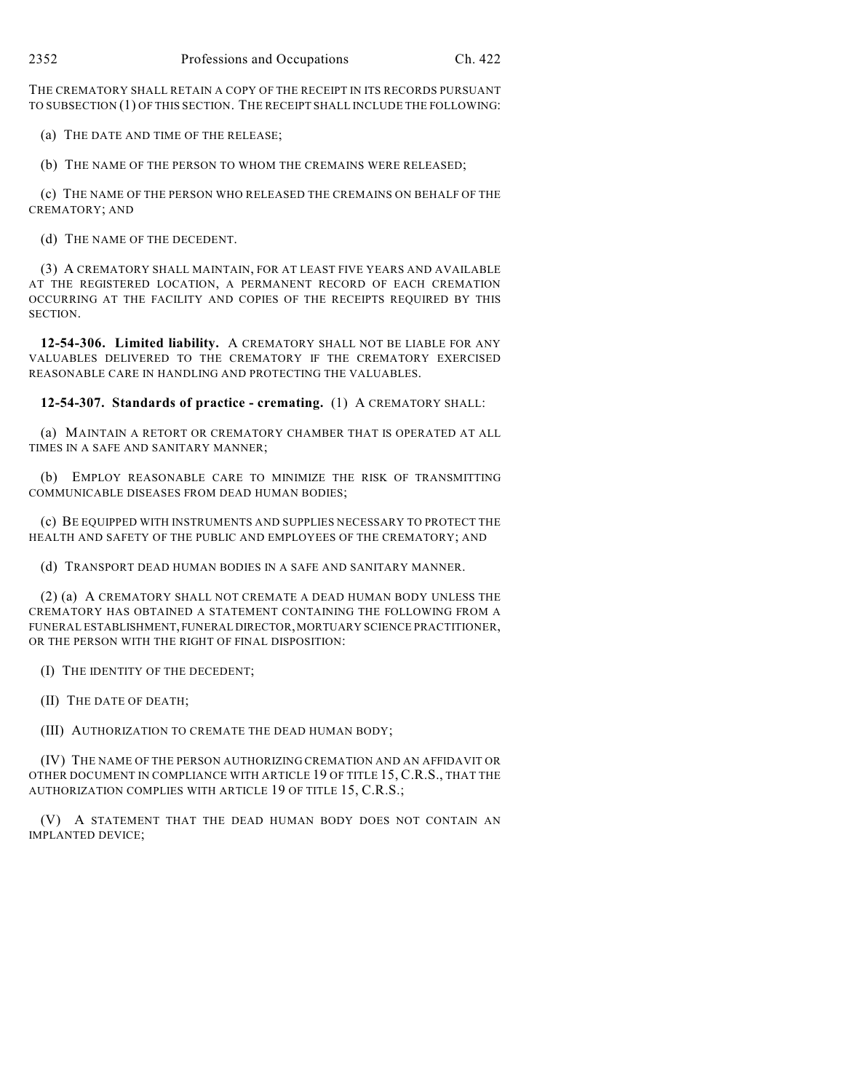THE CREMATORY SHALL RETAIN A COPY OF THE RECEIPT IN ITS RECORDS PURSUANT TO SUBSECTION (1) OF THIS SECTION. THE RECEIPT SHALL INCLUDE THE FOLLOWING:

(a) THE DATE AND TIME OF THE RELEASE;

(b) THE NAME OF THE PERSON TO WHOM THE CREMAINS WERE RELEASED;

(c) THE NAME OF THE PERSON WHO RELEASED THE CREMAINS ON BEHALF OF THE CREMATORY; AND

(d) THE NAME OF THE DECEDENT.

(3) A CREMATORY SHALL MAINTAIN, FOR AT LEAST FIVE YEARS AND AVAILABLE AT THE REGISTERED LOCATION, A PERMANENT RECORD OF EACH CREMATION OCCURRING AT THE FACILITY AND COPIES OF THE RECEIPTS REQUIRED BY THIS SECTION.

**12-54-306. Limited liability.** A CREMATORY SHALL NOT BE LIABLE FOR ANY VALUABLES DELIVERED TO THE CREMATORY IF THE CREMATORY EXERCISED REASONABLE CARE IN HANDLING AND PROTECTING THE VALUABLES.

**12-54-307. Standards of practice - cremating.** (1) A CREMATORY SHALL:

(a) MAINTAIN A RETORT OR CREMATORY CHAMBER THAT IS OPERATED AT ALL TIMES IN A SAFE AND SANITARY MANNER;

(b) EMPLOY REASONABLE CARE TO MINIMIZE THE RISK OF TRANSMITTING COMMUNICABLE DISEASES FROM DEAD HUMAN BODIES;

(c) BE EQUIPPED WITH INSTRUMENTS AND SUPPLIES NECESSARY TO PROTECT THE HEALTH AND SAFETY OF THE PUBLIC AND EMPLOYEES OF THE CREMATORY; AND

(d) TRANSPORT DEAD HUMAN BODIES IN A SAFE AND SANITARY MANNER.

(2) (a) A CREMATORY SHALL NOT CREMATE A DEAD HUMAN BODY UNLESS THE CREMATORY HAS OBTAINED A STATEMENT CONTAINING THE FOLLOWING FROM A FUNERAL ESTABLISHMENT, FUNERAL DIRECTOR, MORTUARY SCIENCE PRACTITIONER, OR THE PERSON WITH THE RIGHT OF FINAL DISPOSITION:

(I) THE IDENTITY OF THE DECEDENT;

(II) THE DATE OF DEATH;

(III) AUTHORIZATION TO CREMATE THE DEAD HUMAN BODY;

(IV) THE NAME OF THE PERSON AUTHORIZING CREMATION AND AN AFFIDAVIT OR OTHER DOCUMENT IN COMPLIANCE WITH ARTICLE 19 OF TITLE 15, C.R.S., THAT THE AUTHORIZATION COMPLIES WITH ARTICLE 19 OF TITLE 15, C.R.S.;

(V) A STATEMENT THAT THE DEAD HUMAN BODY DOES NOT CONTAIN AN IMPLANTED DEVICE;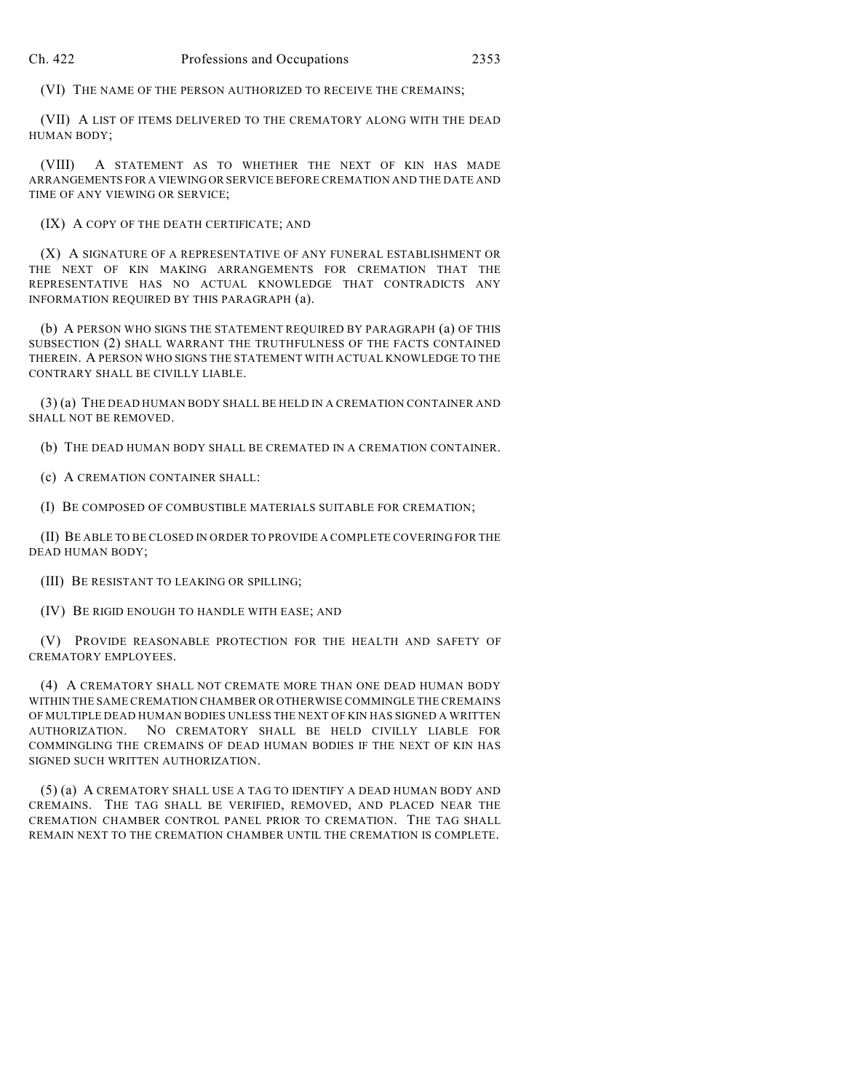(VI) THE NAME OF THE PERSON AUTHORIZED TO RECEIVE THE CREMAINS;

(VII) A LIST OF ITEMS DELIVERED TO THE CREMATORY ALONG WITH THE DEAD HUMAN BODY;

(VIII) A STATEMENT AS TO WHETHER THE NEXT OF KIN HAS MADE ARRANGEMENTS FOR A VIEWING OR SERVICE BEFORE CREMATION AND THE DATE AND TIME OF ANY VIEWING OR SERVICE;

(IX) A COPY OF THE DEATH CERTIFICATE; AND

(X) A SIGNATURE OF A REPRESENTATIVE OF ANY FUNERAL ESTABLISHMENT OR THE NEXT OF KIN MAKING ARRANGEMENTS FOR CREMATION THAT THE REPRESENTATIVE HAS NO ACTUAL KNOWLEDGE THAT CONTRADICTS ANY INFORMATION REQUIRED BY THIS PARAGRAPH (a).

(b) A PERSON WHO SIGNS THE STATEMENT REQUIRED BY PARAGRAPH (a) OF THIS SUBSECTION (2) SHALL WARRANT THE TRUTHFULNESS OF THE FACTS CONTAINED THEREIN. A PERSON WHO SIGNS THE STATEMENT WITH ACTUAL KNOWLEDGE TO THE CONTRARY SHALL BE CIVILLY LIABLE.

(3) (a) THE DEAD HUMAN BODY SHALL BE HELD IN A CREMATION CONTAINER AND SHALL NOT BE REMOVED.

(b) THE DEAD HUMAN BODY SHALL BE CREMATED IN A CREMATION CONTAINER.

(c) A CREMATION CONTAINER SHALL:

(I) BE COMPOSED OF COMBUSTIBLE MATERIALS SUITABLE FOR CREMATION;

(II) BE ABLE TO BE CLOSED IN ORDER TO PROVIDE A COMPLETE COVERING FOR THE DEAD HUMAN BODY;

(III) BE RESISTANT TO LEAKING OR SPILLING;

(IV) BE RIGID ENOUGH TO HANDLE WITH EASE; AND

(V) PROVIDE REASONABLE PROTECTION FOR THE HEALTH AND SAFETY OF CREMATORY EMPLOYEES.

(4) A CREMATORY SHALL NOT CREMATE MORE THAN ONE DEAD HUMAN BODY WITHIN THE SAME CREMATION CHAMBER OR OTHERWISE COMMINGLE THE CREMAINS OF MULTIPLE DEAD HUMAN BODIES UNLESS THE NEXT OF KIN HAS SIGNED A WRITTEN AUTHORIZATION. NO CREMATORY SHALL BE HELD CIVILLY LIABLE FOR COMMINGLING THE CREMAINS OF DEAD HUMAN BODIES IF THE NEXT OF KIN HAS SIGNED SUCH WRITTEN AUTHORIZATION.

(5) (a) A CREMATORY SHALL USE A TAG TO IDENTIFY A DEAD HUMAN BODY AND CREMAINS. THE TAG SHALL BE VERIFIED, REMOVED, AND PLACED NEAR THE CREMATION CHAMBER CONTROL PANEL PRIOR TO CREMATION. THE TAG SHALL REMAIN NEXT TO THE CREMATION CHAMBER UNTIL THE CREMATION IS COMPLETE.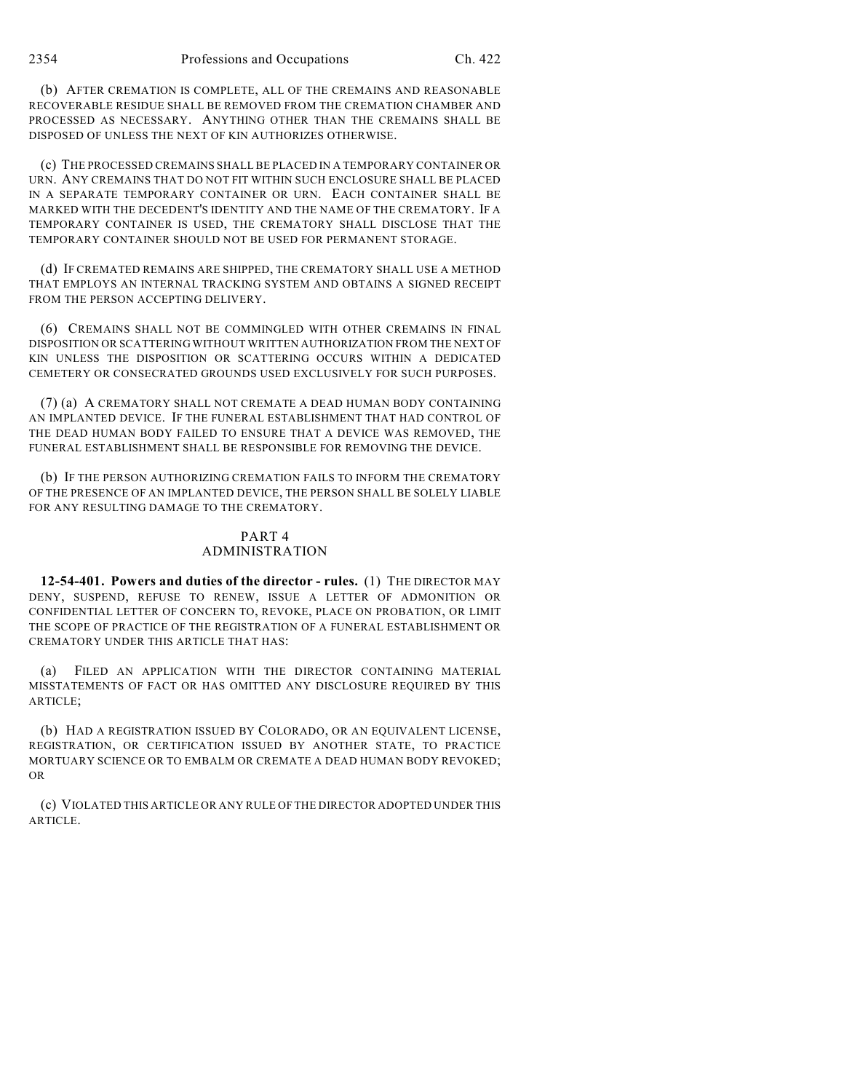(b) AFTER CREMATION IS COMPLETE, ALL OF THE CREMAINS AND REASONABLE RECOVERABLE RESIDUE SHALL BE REMOVED FROM THE CREMATION CHAMBER AND PROCESSED AS NECESSARY. ANYTHING OTHER THAN THE CREMAINS SHALL BE DISPOSED OF UNLESS THE NEXT OF KIN AUTHORIZES OTHERWISE.

(c) THE PROCESSED CREMAINS SHALL BE PLACED IN A TEMPORARY CONTAINER OR URN. ANY CREMAINS THAT DO NOT FIT WITHIN SUCH ENCLOSURE SHALL BE PLACED IN A SEPARATE TEMPORARY CONTAINER OR URN. EACH CONTAINER SHALL BE MARKED WITH THE DECEDENT'S IDENTITY AND THE NAME OF THE CREMATORY. IF A TEMPORARY CONTAINER IS USED, THE CREMATORY SHALL DISCLOSE THAT THE TEMPORARY CONTAINER SHOULD NOT BE USED FOR PERMANENT STORAGE.

(d) IF CREMATED REMAINS ARE SHIPPED, THE CREMATORY SHALL USE A METHOD THAT EMPLOYS AN INTERNAL TRACKING SYSTEM AND OBTAINS A SIGNED RECEIPT FROM THE PERSON ACCEPTING DELIVERY.

(6) CREMAINS SHALL NOT BE COMMINGLED WITH OTHER CREMAINS IN FINAL DISPOSITION OR SCATTERING WITHOUT WRITTEN AUTHORIZATION FROM THE NEXT OF KIN UNLESS THE DISPOSITION OR SCATTERING OCCURS WITHIN A DEDICATED CEMETERY OR CONSECRATED GROUNDS USED EXCLUSIVELY FOR SUCH PURPOSES.

(7) (a) A CREMATORY SHALL NOT CREMATE A DEAD HUMAN BODY CONTAINING AN IMPLANTED DEVICE. IF THE FUNERAL ESTABLISHMENT THAT HAD CONTROL OF THE DEAD HUMAN BODY FAILED TO ENSURE THAT A DEVICE WAS REMOVED, THE FUNERAL ESTABLISHMENT SHALL BE RESPONSIBLE FOR REMOVING THE DEVICE.

(b) IF THE PERSON AUTHORIZING CREMATION FAILS TO INFORM THE CREMATORY OF THE PRESENCE OF AN IMPLANTED DEVICE, THE PERSON SHALL BE SOLELY LIABLE FOR ANY RESULTING DAMAGE TO THE CREMATORY.

#### PART 4 ADMINISTRATION

**12-54-401. Powers and duties of the director - rules.** (1) THE DIRECTOR MAY DENY, SUSPEND, REFUSE TO RENEW, ISSUE A LETTER OF ADMONITION OR CONFIDENTIAL LETTER OF CONCERN TO, REVOKE, PLACE ON PROBATION, OR LIMIT THE SCOPE OF PRACTICE OF THE REGISTRATION OF A FUNERAL ESTABLISHMENT OR CREMATORY UNDER THIS ARTICLE THAT HAS:

(a) FILED AN APPLICATION WITH THE DIRECTOR CONTAINING MATERIAL MISSTATEMENTS OF FACT OR HAS OMITTED ANY DISCLOSURE REQUIRED BY THIS ARTICLE;

(b) HAD A REGISTRATION ISSUED BY COLORADO, OR AN EQUIVALENT LICENSE, REGISTRATION, OR CERTIFICATION ISSUED BY ANOTHER STATE, TO PRACTICE MORTUARY SCIENCE OR TO EMBALM OR CREMATE A DEAD HUMAN BODY REVOKED; OR

(c) VIOLATED THIS ARTICLE OR ANY RULE OF THE DIRECTOR ADOPTED UNDER THIS ARTICLE.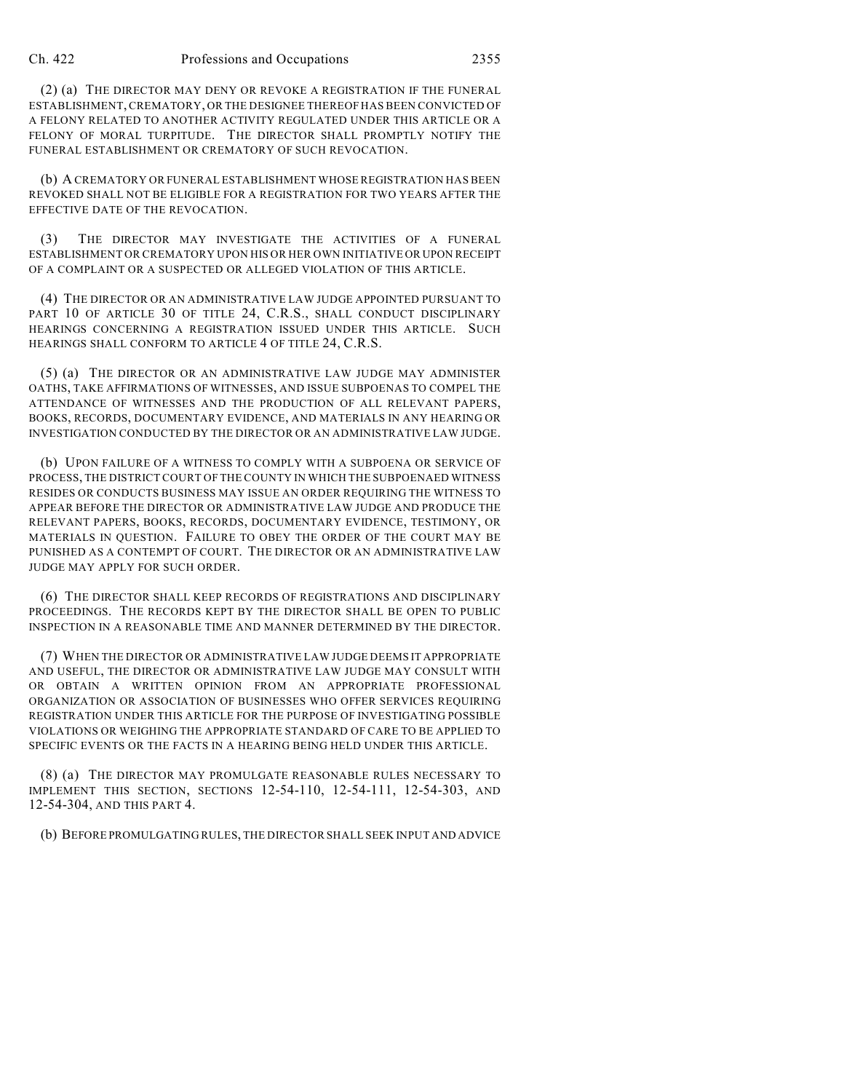(2) (a) THE DIRECTOR MAY DENY OR REVOKE A REGISTRATION IF THE FUNERAL ESTABLISHMENT, CREMATORY, OR THE DESIGNEE THEREOF HAS BEEN CONVICTED OF A FELONY RELATED TO ANOTHER ACTIVITY REGULATED UNDER THIS ARTICLE OR A FELONY OF MORAL TURPITUDE. THE DIRECTOR SHALL PROMPTLY NOTIFY THE FUNERAL ESTABLISHMENT OR CREMATORY OF SUCH REVOCATION.

(b) A CREMATORY OR FUNERAL ESTABLISHMENT WHOSE REGISTRATION HAS BEEN REVOKED SHALL NOT BE ELIGIBLE FOR A REGISTRATION FOR TWO YEARS AFTER THE EFFECTIVE DATE OF THE REVOCATION.

(3) THE DIRECTOR MAY INVESTIGATE THE ACTIVITIES OF A FUNERAL ESTABLISHMENT OR CREMATORY UPON HIS OR HER OWN INITIATIVE OR UPON RECEIPT OF A COMPLAINT OR A SUSPECTED OR ALLEGED VIOLATION OF THIS ARTICLE.

(4) THE DIRECTOR OR AN ADMINISTRATIVE LAW JUDGE APPOINTED PURSUANT TO PART 10 OF ARTICLE 30 OF TITLE 24, C.R.S., SHALL CONDUCT DISCIPLINARY HEARINGS CONCERNING A REGISTRATION ISSUED UNDER THIS ARTICLE. SUCH HEARINGS SHALL CONFORM TO ARTICLE 4 OF TITLE 24, C.R.S.

(5) (a) THE DIRECTOR OR AN ADMINISTRATIVE LAW JUDGE MAY ADMINISTER OATHS, TAKE AFFIRMATIONS OF WITNESSES, AND ISSUE SUBPOENAS TO COMPEL THE ATTENDANCE OF WITNESSES AND THE PRODUCTION OF ALL RELEVANT PAPERS, BOOKS, RECORDS, DOCUMENTARY EVIDENCE, AND MATERIALS IN ANY HEARING OR INVESTIGATION CONDUCTED BY THE DIRECTOR OR AN ADMINISTRATIVE LAW JUDGE.

(b) UPON FAILURE OF A WITNESS TO COMPLY WITH A SUBPOENA OR SERVICE OF PROCESS, THE DISTRICT COURT OF THE COUNTY IN WHICH THE SUBPOENAED WITNESS RESIDES OR CONDUCTS BUSINESS MAY ISSUE AN ORDER REQUIRING THE WITNESS TO APPEAR BEFORE THE DIRECTOR OR ADMINISTRATIVE LAW JUDGE AND PRODUCE THE RELEVANT PAPERS, BOOKS, RECORDS, DOCUMENTARY EVIDENCE, TESTIMONY, OR MATERIALS IN QUESTION. FAILURE TO OBEY THE ORDER OF THE COURT MAY BE PUNISHED AS A CONTEMPT OF COURT. THE DIRECTOR OR AN ADMINISTRATIVE LAW JUDGE MAY APPLY FOR SUCH ORDER.

(6) THE DIRECTOR SHALL KEEP RECORDS OF REGISTRATIONS AND DISCIPLINARY PROCEEDINGS. THE RECORDS KEPT BY THE DIRECTOR SHALL BE OPEN TO PUBLIC INSPECTION IN A REASONABLE TIME AND MANNER DETERMINED BY THE DIRECTOR.

(7) WHEN THE DIRECTOR OR ADMINISTRATIVE LAW JUDGE DEEMS IT APPROPRIATE AND USEFUL, THE DIRECTOR OR ADMINISTRATIVE LAW JUDGE MAY CONSULT WITH OR OBTAIN A WRITTEN OPINION FROM AN APPROPRIATE PROFESSIONAL ORGANIZATION OR ASSOCIATION OF BUSINESSES WHO OFFER SERVICES REQUIRING REGISTRATION UNDER THIS ARTICLE FOR THE PURPOSE OF INVESTIGATING POSSIBLE VIOLATIONS OR WEIGHING THE APPROPRIATE STANDARD OF CARE TO BE APPLIED TO SPECIFIC EVENTS OR THE FACTS IN A HEARING BEING HELD UNDER THIS ARTICLE.

(8) (a) THE DIRECTOR MAY PROMULGATE REASONABLE RULES NECESSARY TO IMPLEMENT THIS SECTION, SECTIONS 12-54-110, 12-54-111, 12-54-303, AND 12-54-304, AND THIS PART 4.

(b) BEFORE PROMULGATING RULES, THE DIRECTOR SHALL SEEK INPUT AND ADVICE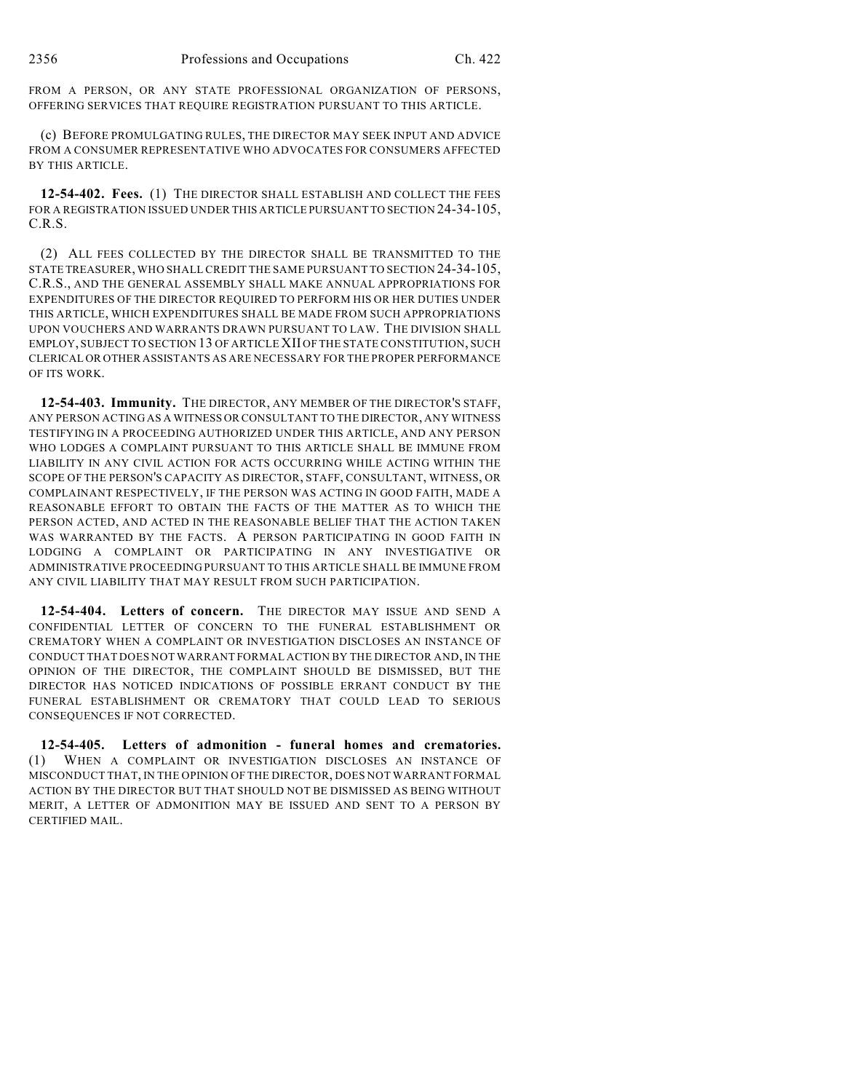FROM A PERSON, OR ANY STATE PROFESSIONAL ORGANIZATION OF PERSONS, OFFERING SERVICES THAT REQUIRE REGISTRATION PURSUANT TO THIS ARTICLE.

(c) BEFORE PROMULGATING RULES, THE DIRECTOR MAY SEEK INPUT AND ADVICE FROM A CONSUMER REPRESENTATIVE WHO ADVOCATES FOR CONSUMERS AFFECTED BY THIS ARTICLE.

**12-54-402. Fees.** (1) THE DIRECTOR SHALL ESTABLISH AND COLLECT THE FEES FOR A REGISTRATION ISSUED UNDER THIS ARTICLE PURSUANT TO SECTION 24-34-105, C.R.S.

(2) ALL FEES COLLECTED BY THE DIRECTOR SHALL BE TRANSMITTED TO THE STATE TREASURER, WHO SHALL CREDIT THE SAME PURSUANT TO SECTION 24-34-105, C.R.S., AND THE GENERAL ASSEMBLY SHALL MAKE ANNUAL APPROPRIATIONS FOR EXPENDITURES OF THE DIRECTOR REQUIRED TO PERFORM HIS OR HER DUTIES UNDER THIS ARTICLE, WHICH EXPENDITURES SHALL BE MADE FROM SUCH APPROPRIATIONS UPON VOUCHERS AND WARRANTS DRAWN PURSUANT TO LAW. THE DIVISION SHALL EMPLOY, SUBJECT TO SECTION 13 OF ARTICLE XII OF THE STATE CONSTITUTION, SUCH CLERICAL OR OTHER ASSISTANTS AS ARE NECESSARY FOR THE PROPER PERFORMANCE OF ITS WORK.

**12-54-403. Immunity.** THE DIRECTOR, ANY MEMBER OF THE DIRECTOR'S STAFF, ANY PERSON ACTING AS A WITNESS OR CONSULTANT TO THE DIRECTOR, ANY WITNESS TESTIFYING IN A PROCEEDING AUTHORIZED UNDER THIS ARTICLE, AND ANY PERSON WHO LODGES A COMPLAINT PURSUANT TO THIS ARTICLE SHALL BE IMMUNE FROM LIABILITY IN ANY CIVIL ACTION FOR ACTS OCCURRING WHILE ACTING WITHIN THE SCOPE OF THE PERSON'S CAPACITY AS DIRECTOR, STAFF, CONSULTANT, WITNESS, OR COMPLAINANT RESPECTIVELY, IF THE PERSON WAS ACTING IN GOOD FAITH, MADE A REASONABLE EFFORT TO OBTAIN THE FACTS OF THE MATTER AS TO WHICH THE PERSON ACTED, AND ACTED IN THE REASONABLE BELIEF THAT THE ACTION TAKEN WAS WARRANTED BY THE FACTS. A PERSON PARTICIPATING IN GOOD FAITH IN LODGING A COMPLAINT OR PARTICIPATING IN ANY INVESTIGATIVE OR ADMINISTRATIVE PROCEEDING PURSUANT TO THIS ARTICLE SHALL BE IMMUNE FROM ANY CIVIL LIABILITY THAT MAY RESULT FROM SUCH PARTICIPATION.

**12-54-404. Letters of concern.** THE DIRECTOR MAY ISSUE AND SEND A CONFIDENTIAL LETTER OF CONCERN TO THE FUNERAL ESTABLISHMENT OR CREMATORY WHEN A COMPLAINT OR INVESTIGATION DISCLOSES AN INSTANCE OF CONDUCT THAT DOES NOT WARRANT FORMAL ACTION BY THE DIRECTOR AND, IN THE OPINION OF THE DIRECTOR, THE COMPLAINT SHOULD BE DISMISSED, BUT THE DIRECTOR HAS NOTICED INDICATIONS OF POSSIBLE ERRANT CONDUCT BY THE FUNERAL ESTABLISHMENT OR CREMATORY THAT COULD LEAD TO SERIOUS CONSEQUENCES IF NOT CORRECTED.

**12-54-405. Letters of admonition - funeral homes and crematories.** (1) WHEN A COMPLAINT OR INVESTIGATION DISCLOSES AN INSTANCE OF MISCONDUCT THAT, IN THE OPINION OF THE DIRECTOR, DOES NOT WARRANT FORMAL ACTION BY THE DIRECTOR BUT THAT SHOULD NOT BE DISMISSED AS BEING WITHOUT MERIT, A LETTER OF ADMONITION MAY BE ISSUED AND SENT TO A PERSON BY CERTIFIED MAIL.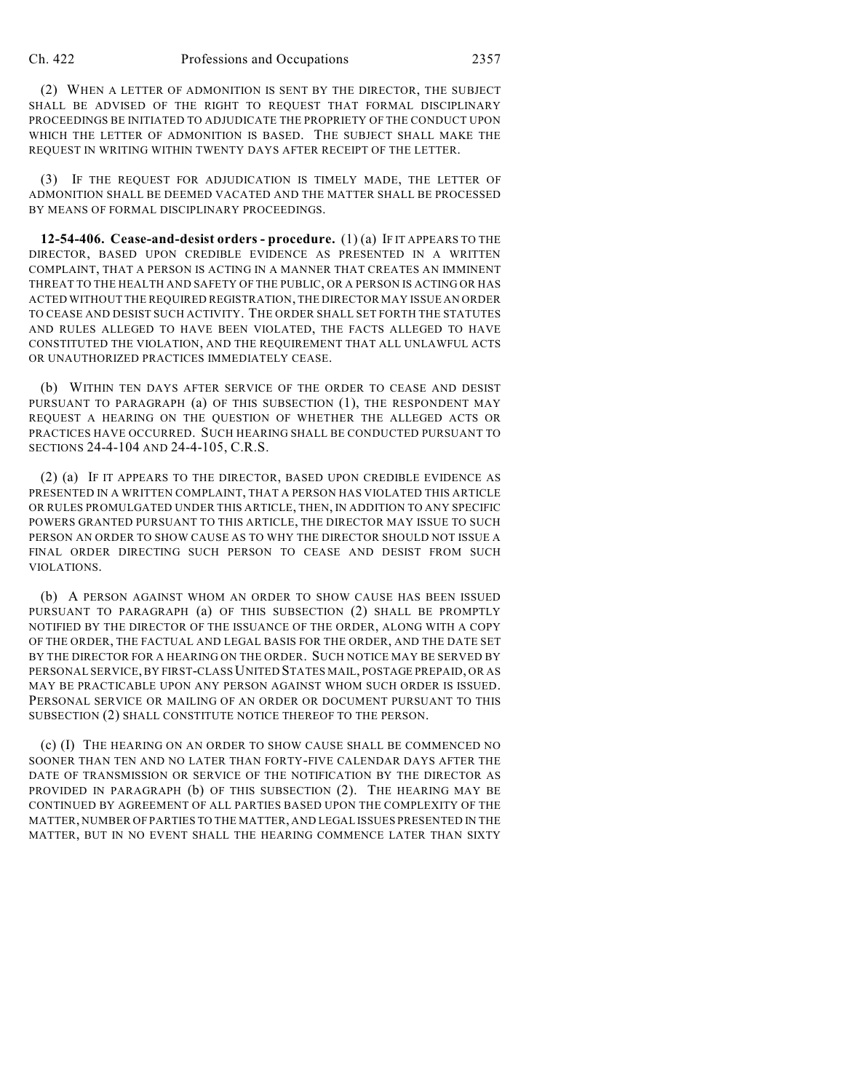(2) WHEN A LETTER OF ADMONITION IS SENT BY THE DIRECTOR, THE SUBJECT SHALL BE ADVISED OF THE RIGHT TO REQUEST THAT FORMAL DISCIPLINARY PROCEEDINGS BE INITIATED TO ADJUDICATE THE PROPRIETY OF THE CONDUCT UPON WHICH THE LETTER OF ADMONITION IS BASED. THE SUBJECT SHALL MAKE THE REQUEST IN WRITING WITHIN TWENTY DAYS AFTER RECEIPT OF THE LETTER.

(3) IF THE REQUEST FOR ADJUDICATION IS TIMELY MADE, THE LETTER OF ADMONITION SHALL BE DEEMED VACATED AND THE MATTER SHALL BE PROCESSED BY MEANS OF FORMAL DISCIPLINARY PROCEEDINGS.

**12-54-406. Cease-and-desist orders - procedure.** (1) (a) IF IT APPEARS TO THE DIRECTOR, BASED UPON CREDIBLE EVIDENCE AS PRESENTED IN A WRITTEN COMPLAINT, THAT A PERSON IS ACTING IN A MANNER THAT CREATES AN IMMINENT THREAT TO THE HEALTH AND SAFETY OF THE PUBLIC, OR A PERSON IS ACTING OR HAS ACTED WITHOUT THE REQUIRED REGISTRATION, THE DIRECTOR MAY ISSUE AN ORDER TO CEASE AND DESIST SUCH ACTIVITY. THE ORDER SHALL SET FORTH THE STATUTES AND RULES ALLEGED TO HAVE BEEN VIOLATED, THE FACTS ALLEGED TO HAVE CONSTITUTED THE VIOLATION, AND THE REQUIREMENT THAT ALL UNLAWFUL ACTS OR UNAUTHORIZED PRACTICES IMMEDIATELY CEASE.

(b) WITHIN TEN DAYS AFTER SERVICE OF THE ORDER TO CEASE AND DESIST PURSUANT TO PARAGRAPH (a) OF THIS SUBSECTION (1), THE RESPONDENT MAY REQUEST A HEARING ON THE QUESTION OF WHETHER THE ALLEGED ACTS OR PRACTICES HAVE OCCURRED. SUCH HEARING SHALL BE CONDUCTED PURSUANT TO SECTIONS 24-4-104 AND 24-4-105, C.R.S.

(2) (a) IF IT APPEARS TO THE DIRECTOR, BASED UPON CREDIBLE EVIDENCE AS PRESENTED IN A WRITTEN COMPLAINT, THAT A PERSON HAS VIOLATED THIS ARTICLE OR RULES PROMULGATED UNDER THIS ARTICLE, THEN, IN ADDITION TO ANY SPECIFIC POWERS GRANTED PURSUANT TO THIS ARTICLE, THE DIRECTOR MAY ISSUE TO SUCH PERSON AN ORDER TO SHOW CAUSE AS TO WHY THE DIRECTOR SHOULD NOT ISSUE A FINAL ORDER DIRECTING SUCH PERSON TO CEASE AND DESIST FROM SUCH VIOLATIONS.

(b) A PERSON AGAINST WHOM AN ORDER TO SHOW CAUSE HAS BEEN ISSUED PURSUANT TO PARAGRAPH (a) OF THIS SUBSECTION (2) SHALL BE PROMPTLY NOTIFIED BY THE DIRECTOR OF THE ISSUANCE OF THE ORDER, ALONG WITH A COPY OF THE ORDER, THE FACTUAL AND LEGAL BASIS FOR THE ORDER, AND THE DATE SET BY THE DIRECTOR FOR A HEARING ON THE ORDER. SUCH NOTICE MAY BE SERVED BY PERSONAL SERVICE, BY FIRST-CLASS UNITED STATES MAIL, POSTAGE PREPAID, OR AS MAY BE PRACTICABLE UPON ANY PERSON AGAINST WHOM SUCH ORDER IS ISSUED. PERSONAL SERVICE OR MAILING OF AN ORDER OR DOCUMENT PURSUANT TO THIS SUBSECTION (2) SHALL CONSTITUTE NOTICE THEREOF TO THE PERSON.

(c) (I) THE HEARING ON AN ORDER TO SHOW CAUSE SHALL BE COMMENCED NO SOONER THAN TEN AND NO LATER THAN FORTY-FIVE CALENDAR DAYS AFTER THE DATE OF TRANSMISSION OR SERVICE OF THE NOTIFICATION BY THE DIRECTOR AS PROVIDED IN PARAGRAPH (b) OF THIS SUBSECTION (2). THE HEARING MAY BE CONTINUED BY AGREEMENT OF ALL PARTIES BASED UPON THE COMPLEXITY OF THE MATTER, NUMBER OF PARTIES TO THE MATTER, AND LEGAL ISSUES PRESENTED IN THE MATTER, BUT IN NO EVENT SHALL THE HEARING COMMENCE LATER THAN SIXTY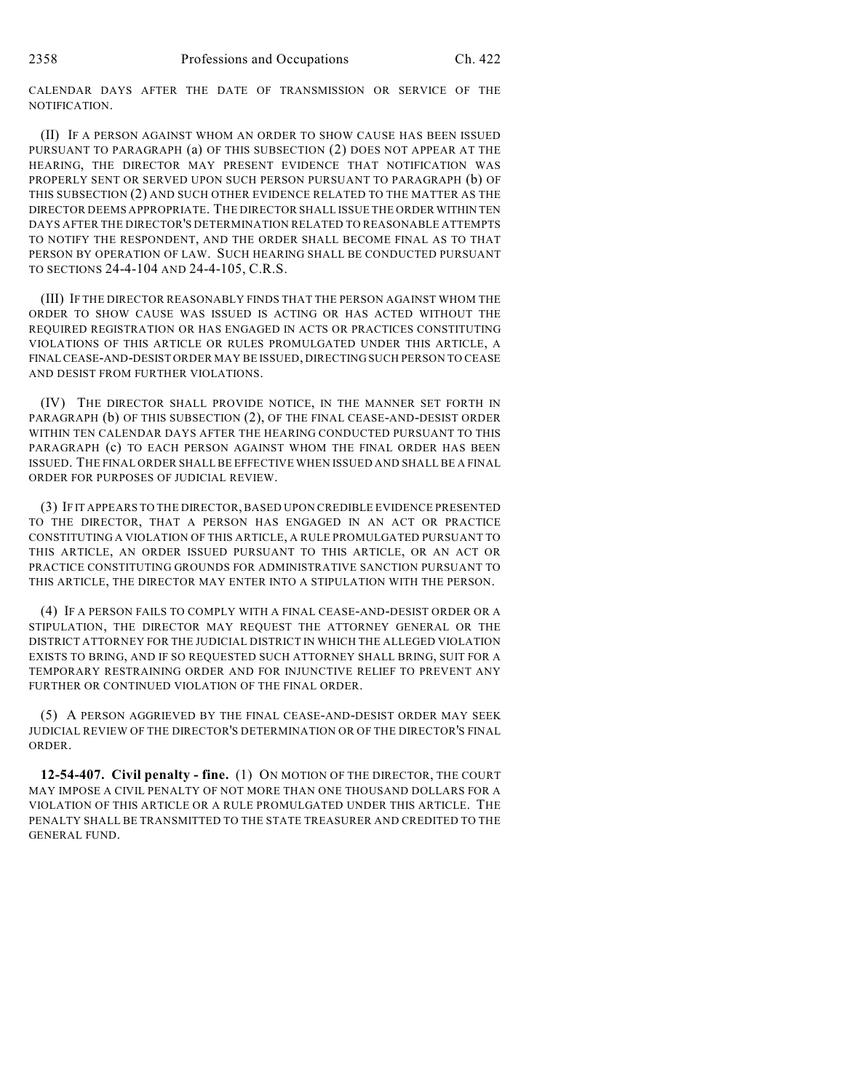CALENDAR DAYS AFTER THE DATE OF TRANSMISSION OR SERVICE OF THE NOTIFICATION.

(II) IF A PERSON AGAINST WHOM AN ORDER TO SHOW CAUSE HAS BEEN ISSUED PURSUANT TO PARAGRAPH (a) OF THIS SUBSECTION (2) DOES NOT APPEAR AT THE HEARING, THE DIRECTOR MAY PRESENT EVIDENCE THAT NOTIFICATION WAS PROPERLY SENT OR SERVED UPON SUCH PERSON PURSUANT TO PARAGRAPH (b) OF THIS SUBSECTION (2) AND SUCH OTHER EVIDENCE RELATED TO THE MATTER AS THE DIRECTOR DEEMS APPROPRIATE. THE DIRECTOR SHALL ISSUE THE ORDER WITHIN TEN DAYS AFTER THE DIRECTOR'S DETERMINATION RELATED TO REASONABLE ATTEMPTS TO NOTIFY THE RESPONDENT, AND THE ORDER SHALL BECOME FINAL AS TO THAT PERSON BY OPERATION OF LAW. SUCH HEARING SHALL BE CONDUCTED PURSUANT TO SECTIONS 24-4-104 AND 24-4-105, C.R.S.

(III) IF THE DIRECTOR REASONABLY FINDS THAT THE PERSON AGAINST WHOM THE ORDER TO SHOW CAUSE WAS ISSUED IS ACTING OR HAS ACTED WITHOUT THE REQUIRED REGISTRATION OR HAS ENGAGED IN ACTS OR PRACTICES CONSTITUTING VIOLATIONS OF THIS ARTICLE OR RULES PROMULGATED UNDER THIS ARTICLE, A FINAL CEASE-AND-DESIST ORDER MAY BE ISSUED, DIRECTING SUCH PERSON TO CEASE AND DESIST FROM FURTHER VIOLATIONS.

(IV) THE DIRECTOR SHALL PROVIDE NOTICE, IN THE MANNER SET FORTH IN PARAGRAPH (b) OF THIS SUBSECTION (2), OF THE FINAL CEASE-AND-DESIST ORDER WITHIN TEN CALENDAR DAYS AFTER THE HEARING CONDUCTED PURSUANT TO THIS PARAGRAPH (c) TO EACH PERSON AGAINST WHOM THE FINAL ORDER HAS BEEN ISSUED. THE FINAL ORDER SHALL BE EFFECTIVE WHEN ISSUED AND SHALL BE A FINAL ORDER FOR PURPOSES OF JUDICIAL REVIEW.

(3) IF IT APPEARS TO THE DIRECTOR, BASED UPON CREDIBLE EVIDENCE PRESENTED TO THE DIRECTOR, THAT A PERSON HAS ENGAGED IN AN ACT OR PRACTICE CONSTITUTING A VIOLATION OF THIS ARTICLE, A RULE PROMULGATED PURSUANT TO THIS ARTICLE, AN ORDER ISSUED PURSUANT TO THIS ARTICLE, OR AN ACT OR PRACTICE CONSTITUTING GROUNDS FOR ADMINISTRATIVE SANCTION PURSUANT TO THIS ARTICLE, THE DIRECTOR MAY ENTER INTO A STIPULATION WITH THE PERSON.

(4) IF A PERSON FAILS TO COMPLY WITH A FINAL CEASE-AND-DESIST ORDER OR A STIPULATION, THE DIRECTOR MAY REQUEST THE ATTORNEY GENERAL OR THE DISTRICT ATTORNEY FOR THE JUDICIAL DISTRICT IN WHICH THE ALLEGED VIOLATION EXISTS TO BRING, AND IF SO REQUESTED SUCH ATTORNEY SHALL BRING, SUIT FOR A TEMPORARY RESTRAINING ORDER AND FOR INJUNCTIVE RELIEF TO PREVENT ANY FURTHER OR CONTINUED VIOLATION OF THE FINAL ORDER.

(5) A PERSON AGGRIEVED BY THE FINAL CEASE-AND-DESIST ORDER MAY SEEK JUDICIAL REVIEW OF THE DIRECTOR'S DETERMINATION OR OF THE DIRECTOR'S FINAL ORDER.

**12-54-407. Civil penalty - fine.** (1) ON MOTION OF THE DIRECTOR, THE COURT MAY IMPOSE A CIVIL PENALTY OF NOT MORE THAN ONE THOUSAND DOLLARS FOR A VIOLATION OF THIS ARTICLE OR A RULE PROMULGATED UNDER THIS ARTICLE. THE PENALTY SHALL BE TRANSMITTED TO THE STATE TREASURER AND CREDITED TO THE GENERAL FUND.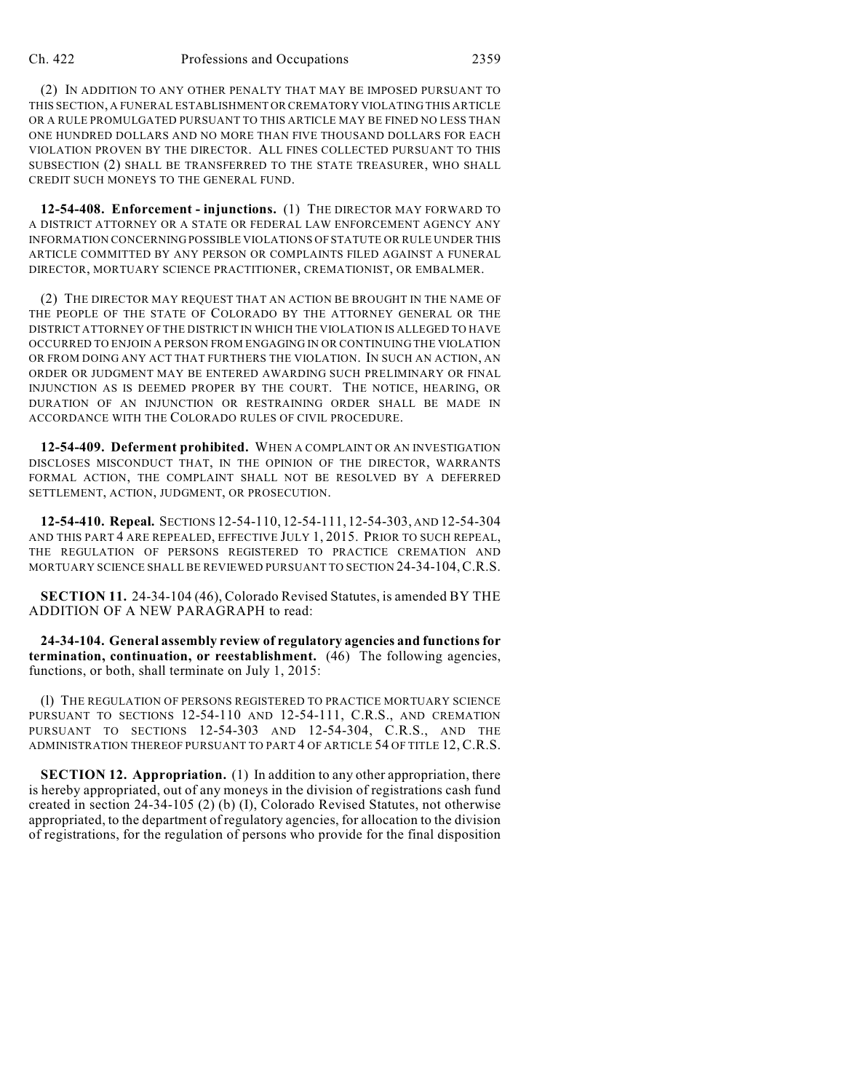(2) IN ADDITION TO ANY OTHER PENALTY THAT MAY BE IMPOSED PURSUANT TO THIS SECTION, A FUNERAL ESTABLISHMENT OR CREMATORY VIOLATING THIS ARTICLE OR A RULE PROMULGATED PURSUANT TO THIS ARTICLE MAY BE FINED NO LESS THAN ONE HUNDRED DOLLARS AND NO MORE THAN FIVE THOUSAND DOLLARS FOR EACH VIOLATION PROVEN BY THE DIRECTOR. ALL FINES COLLECTED PURSUANT TO THIS SUBSECTION (2) SHALL BE TRANSFERRED TO THE STATE TREASURER, WHO SHALL CREDIT SUCH MONEYS TO THE GENERAL FUND.

**12-54-408. Enforcement - injunctions.** (1) THE DIRECTOR MAY FORWARD TO A DISTRICT ATTORNEY OR A STATE OR FEDERAL LAW ENFORCEMENT AGENCY ANY INFORMATION CONCERNING POSSIBLE VIOLATIONS OF STATUTE OR RULE UNDER THIS ARTICLE COMMITTED BY ANY PERSON OR COMPLAINTS FILED AGAINST A FUNERAL DIRECTOR, MORTUARY SCIENCE PRACTITIONER, CREMATIONIST, OR EMBALMER.

(2) THE DIRECTOR MAY REQUEST THAT AN ACTION BE BROUGHT IN THE NAME OF THE PEOPLE OF THE STATE OF COLORADO BY THE ATTORNEY GENERAL OR THE DISTRICT ATTORNEY OF THE DISTRICT IN WHICH THE VIOLATION IS ALLEGED TO HAVE OCCURRED TO ENJOIN A PERSON FROM ENGAGING IN OR CONTINUING THE VIOLATION OR FROM DOING ANY ACT THAT FURTHERS THE VIOLATION. IN SUCH AN ACTION, AN ORDER OR JUDGMENT MAY BE ENTERED AWARDING SUCH PRELIMINARY OR FINAL INJUNCTION AS IS DEEMED PROPER BY THE COURT. THE NOTICE, HEARING, OR DURATION OF AN INJUNCTION OR RESTRAINING ORDER SHALL BE MADE IN ACCORDANCE WITH THE COLORADO RULES OF CIVIL PROCEDURE.

**12-54-409. Deferment prohibited.** WHEN A COMPLAINT OR AN INVESTIGATION DISCLOSES MISCONDUCT THAT, IN THE OPINION OF THE DIRECTOR, WARRANTS FORMAL ACTION, THE COMPLAINT SHALL NOT BE RESOLVED BY A DEFERRED SETTLEMENT, ACTION, JUDGMENT, OR PROSECUTION.

**12-54-410. Repeal.** SECTIONS 12-54-110, 12-54-111, 12-54-303, AND 12-54-304 AND THIS PART 4 ARE REPEALED, EFFECTIVE JULY 1, 2015. PRIOR TO SUCH REPEAL, THE REGULATION OF PERSONS REGISTERED TO PRACTICE CREMATION AND MORTUARY SCIENCE SHALL BE REVIEWED PURSUANT TO SECTION 24-34-104,C.R.S.

**SECTION 11.** 24-34-104 (46), Colorado Revised Statutes, is amended BY THE ADDITION OF A NEW PARAGRAPH to read:

**24-34-104. General assembly review of regulatory agencies and functions for termination, continuation, or reestablishment.** (46) The following agencies, functions, or both, shall terminate on July 1, 2015:

(l) THE REGULATION OF PERSONS REGISTERED TO PRACTICE MORTUARY SCIENCE PURSUANT TO SECTIONS 12-54-110 AND 12-54-111, C.R.S., AND CREMATION PURSUANT TO SECTIONS 12-54-303 AND 12-54-304, C.R.S., AND THE ADMINISTRATION THEREOF PURSUANT TO PART 4 OF ARTICLE 54 OF TITLE 12, C.R.S.

**SECTION 12. Appropriation.** (1) In addition to any other appropriation, there is hereby appropriated, out of any moneys in the division of registrations cash fund created in section 24-34-105 (2) (b) (I), Colorado Revised Statutes, not otherwise appropriated, to the department of regulatory agencies, for allocation to the division of registrations, for the regulation of persons who provide for the final disposition